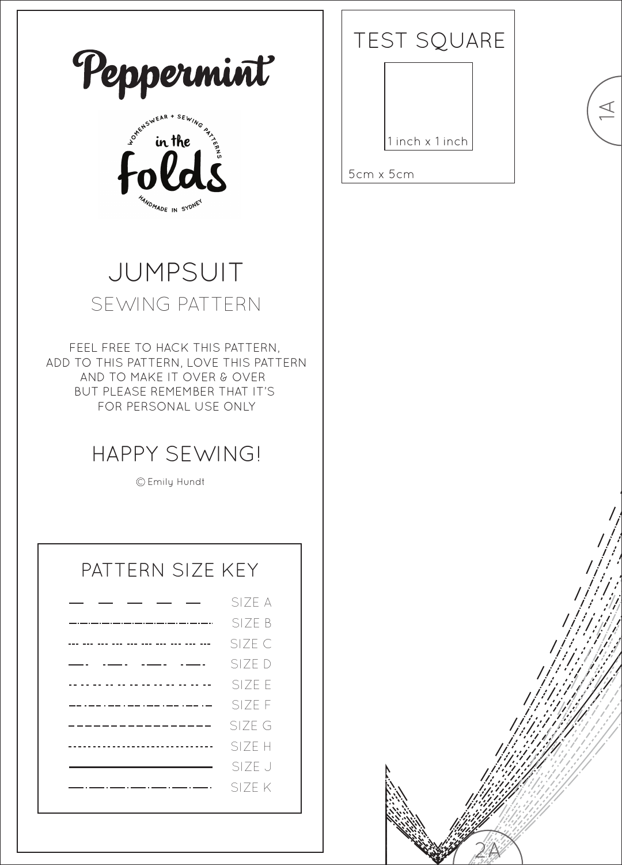

TEST SQUARE

 $2\overline{\mathbb{A}}$ 

 $\triangleleft$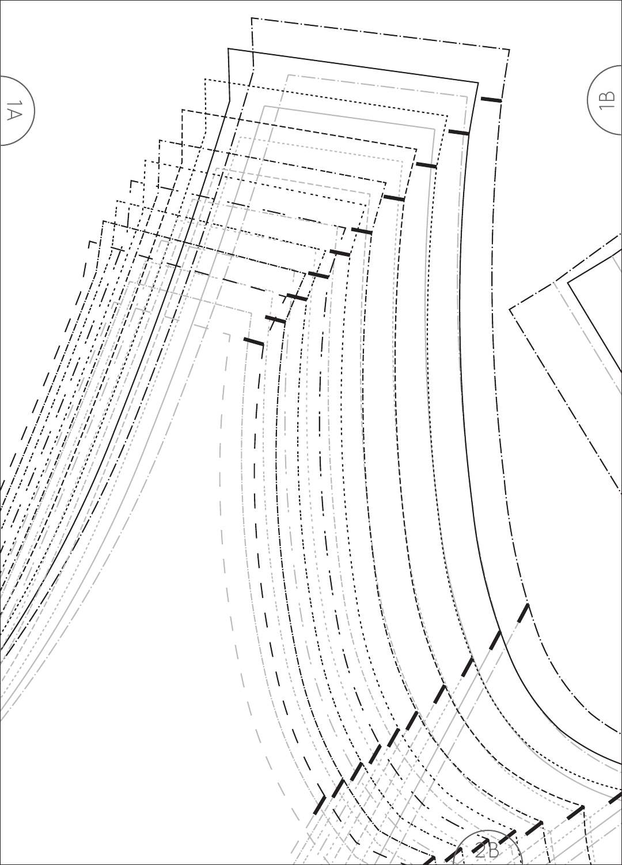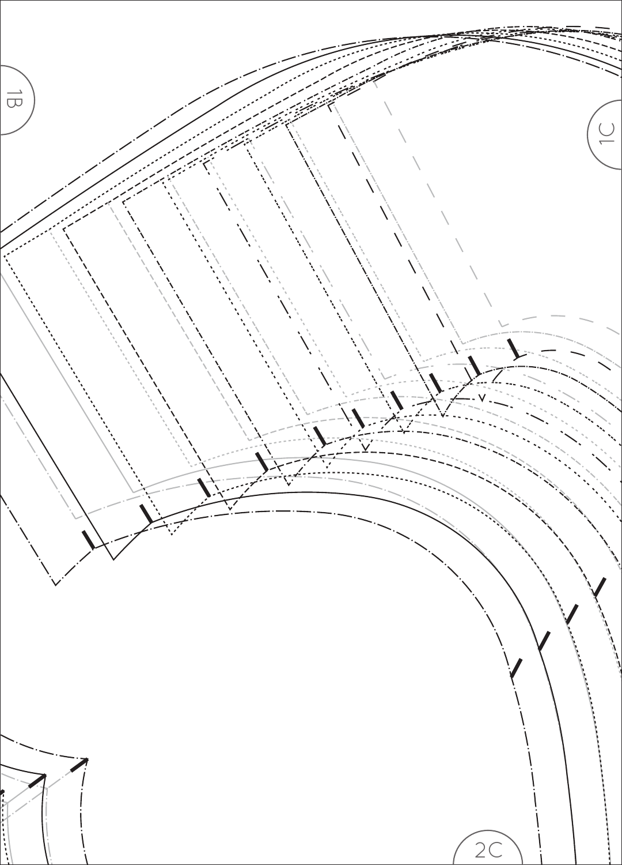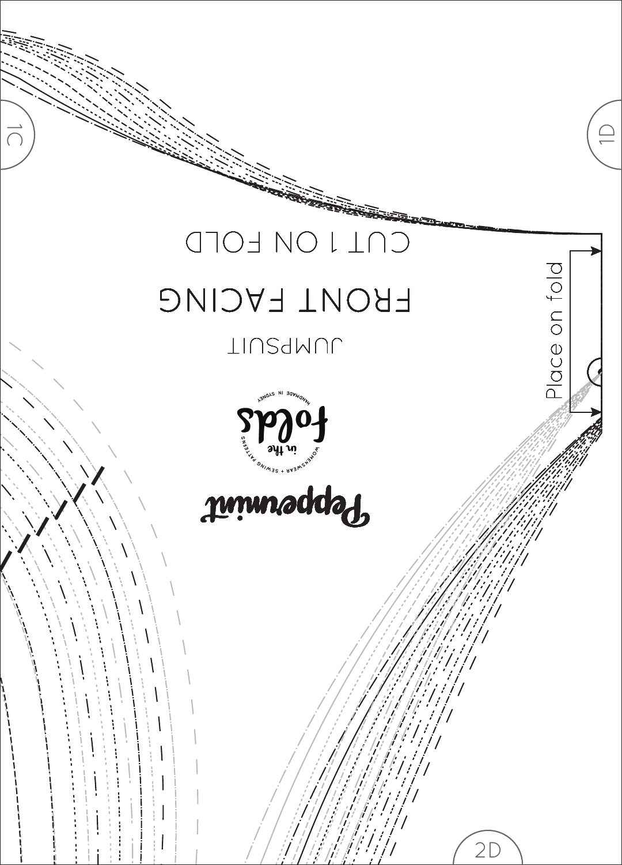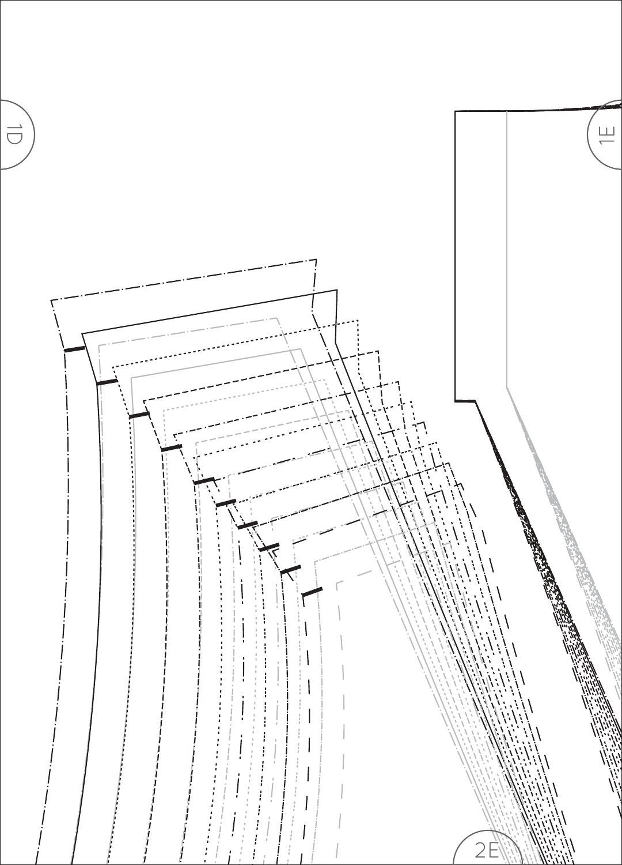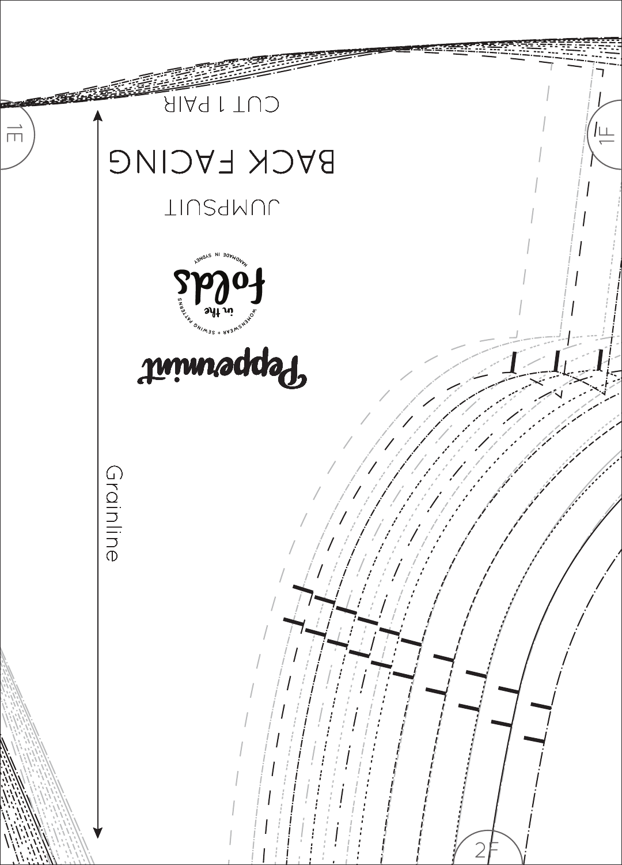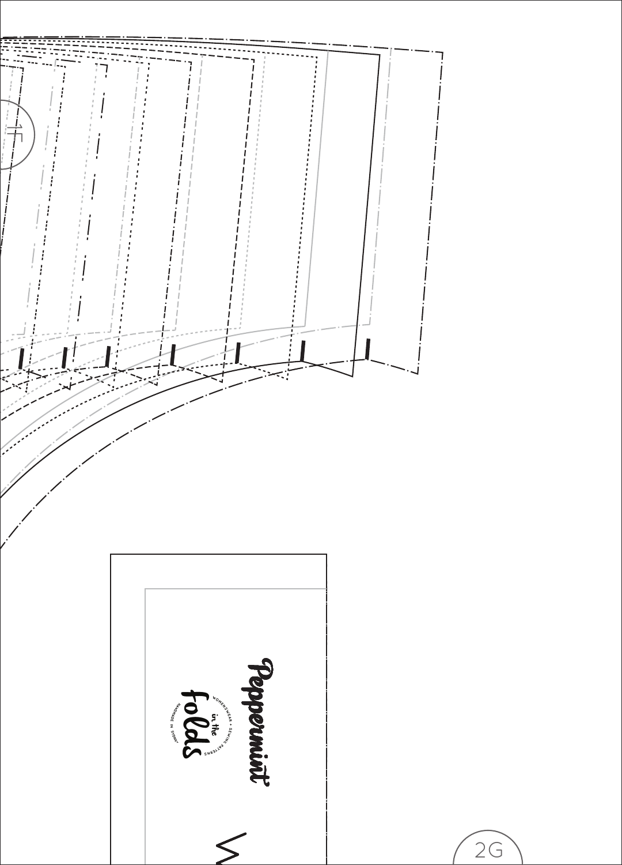

2G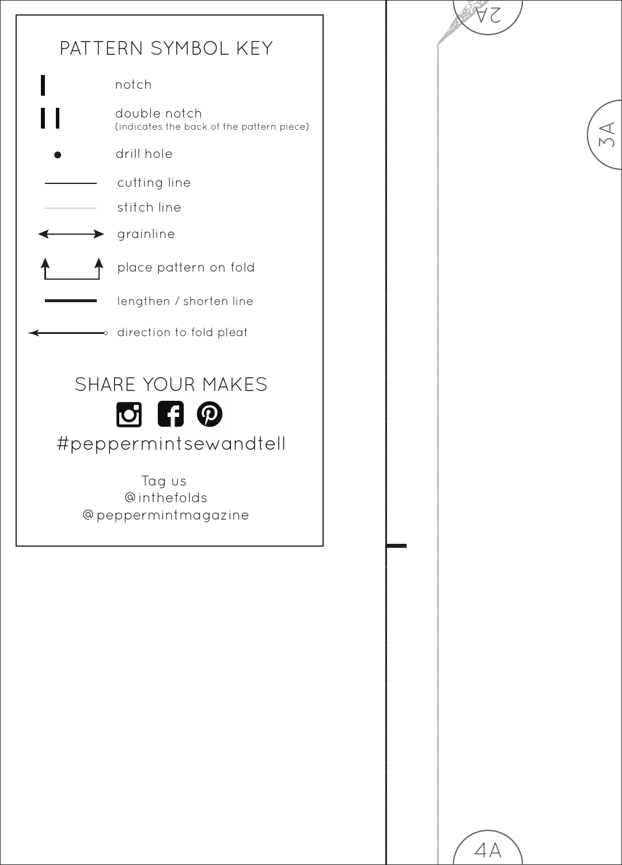



3A

 $\forall$  Z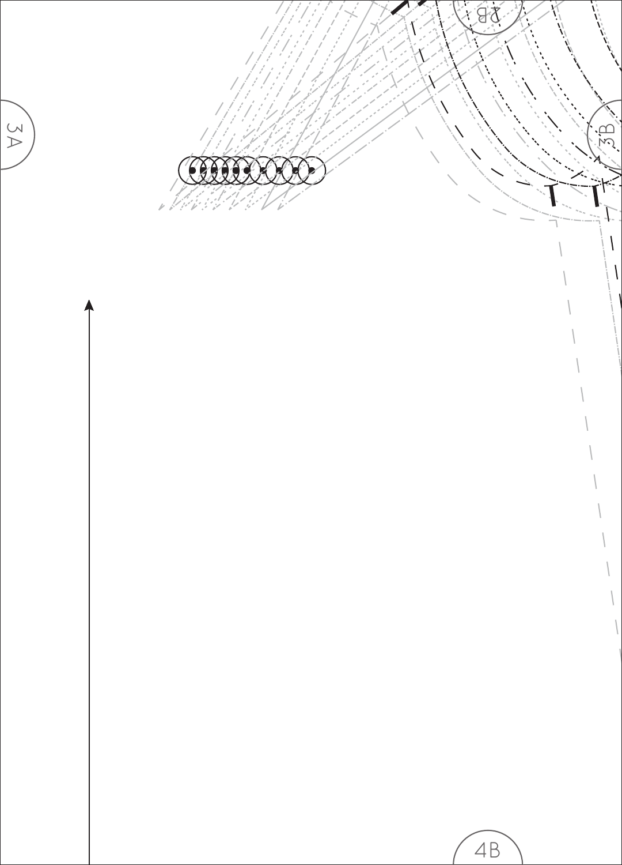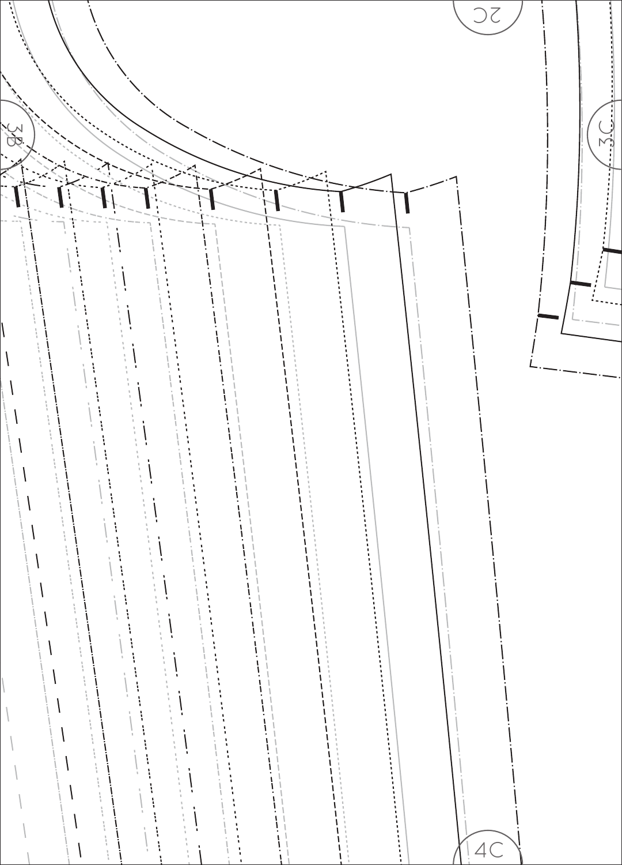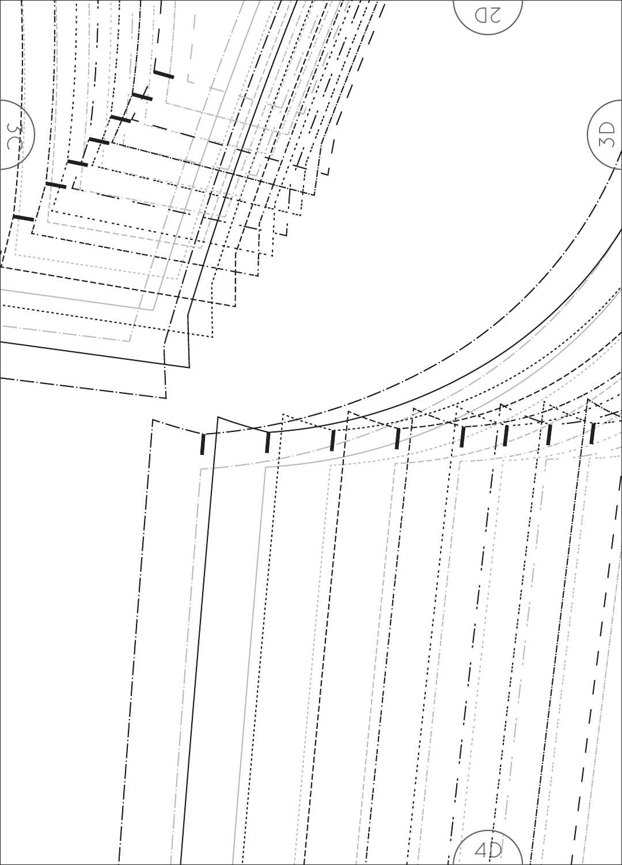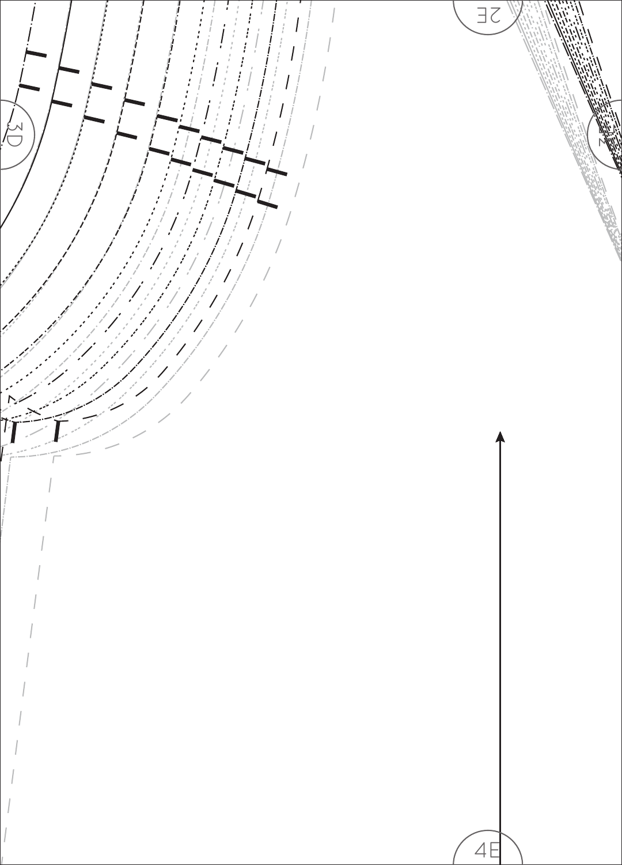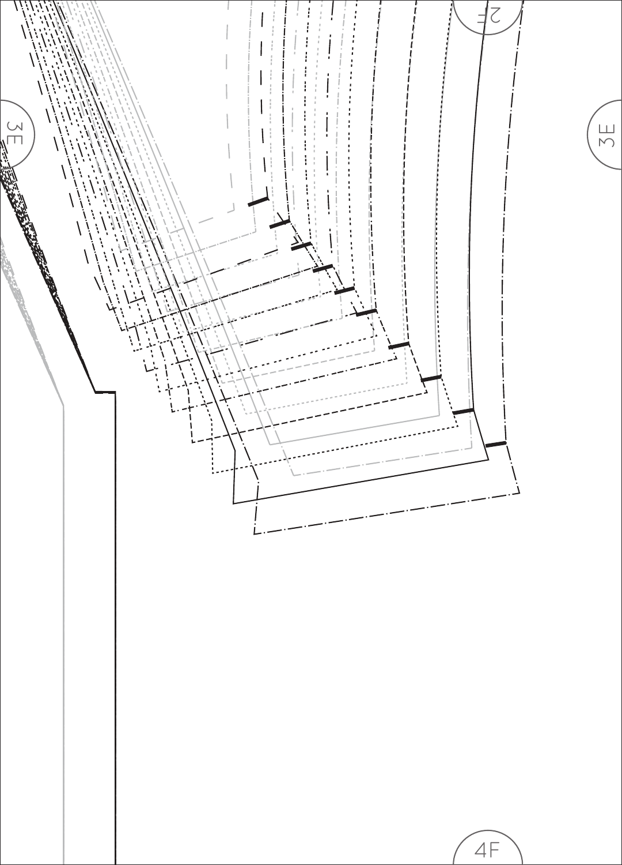

3E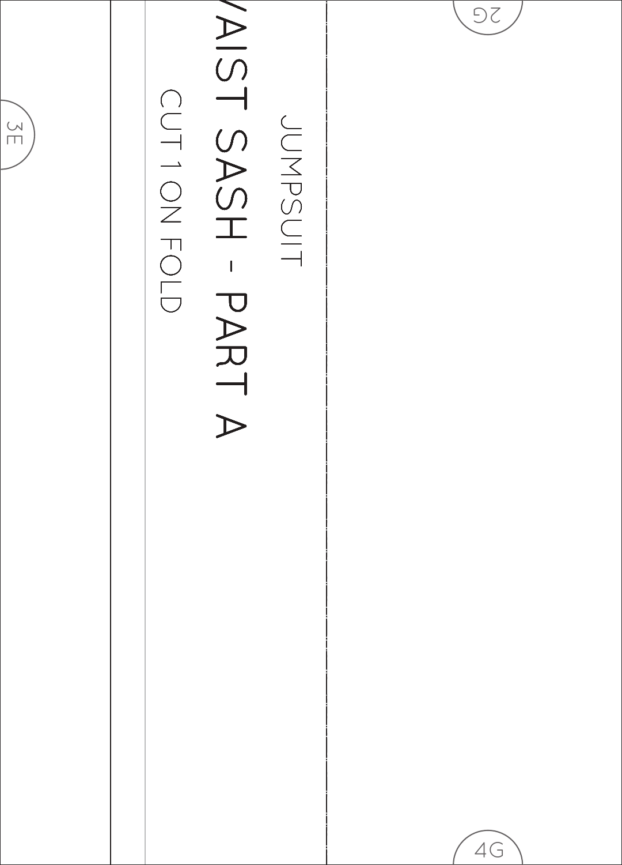

## WAIST SASH - PART A AIST SASH- PART A CUTION FOLD CUT 1 ON FOLD JINSANNL JUMPSUIT



2G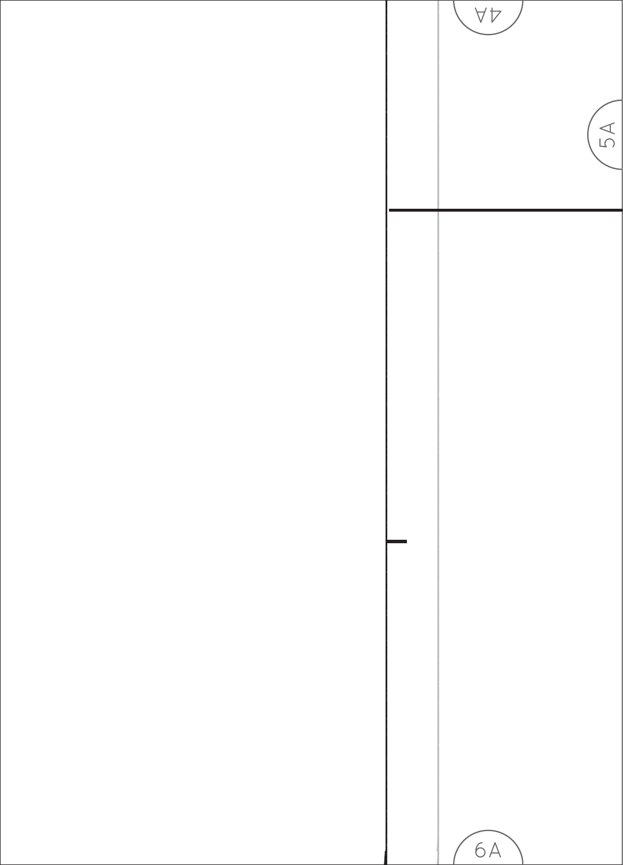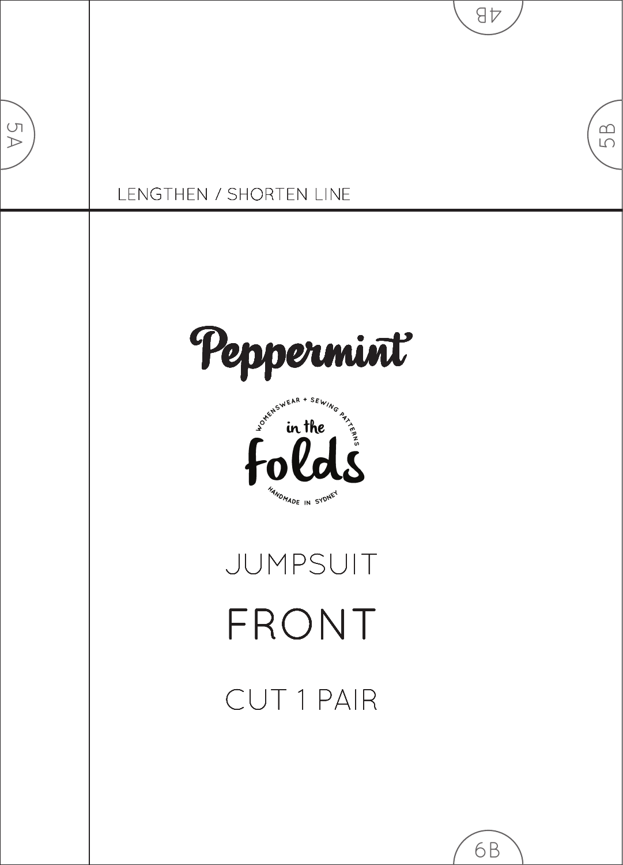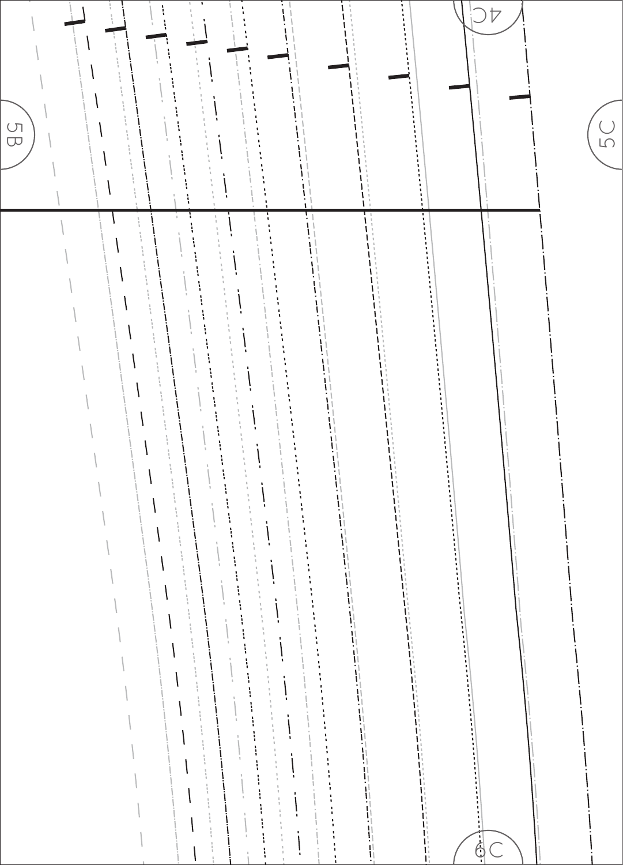1 I,

I

I

 $\overline{\phantom{a}}$ 

ţ ţ

 $\backslash$ 

I

 $\frac{1}{2}$ 

 $\frac{1}{2}$ 

i<br>I

 $\label{eq:3.1} \{ \omega_{\mu\nu} \omega_{\nu\sigma} \omega_{\nu\sigma} \omega_{\mu\nu} \omega_{\nu\sigma} \omega_{\nu\sigma} \omega_{\nu\sigma} \omega_{\nu\sigma} \omega_{\nu\sigma} \omega_{\nu\sigma} \omega_{\nu\sigma} \omega_{\nu\sigma} \omega_{\nu\sigma} \omega_{\nu\sigma} \omega_{\nu\sigma} \omega_{\nu\sigma} \omega_{\nu\sigma} \omega_{\nu\sigma} \omega_{\nu\sigma} \omega_{\nu\sigma} \omega_{\nu\sigma} \omega_{\nu\sigma} \omega_{\nu\sigma} \omega_{\nu\sigma} \omega_{\nu\sigma} \omega_{\nu\sigma} \$ 

ţ

ļ

 $\mathbf{I}$ 

li<br>Li

化自动电压电电阻电压

V)<br>U

 $6C$ 

50

ļ

 $\dot{\int}$ 

İ

 $\int\limits_{-\infty}^{\infty}$ 

ļ

الموارد الموارد الموارد الموارد الموارد الموارد الموارد الموارد الموارد الموارد الموارد الموارد الموارد الموارد<br>الموارد الموارد الموارد الموارد الموارد الموارد الموارد الموارد الموارد الموارد الموارد الموارد الموارد الموا

 $\frac{1}{3}$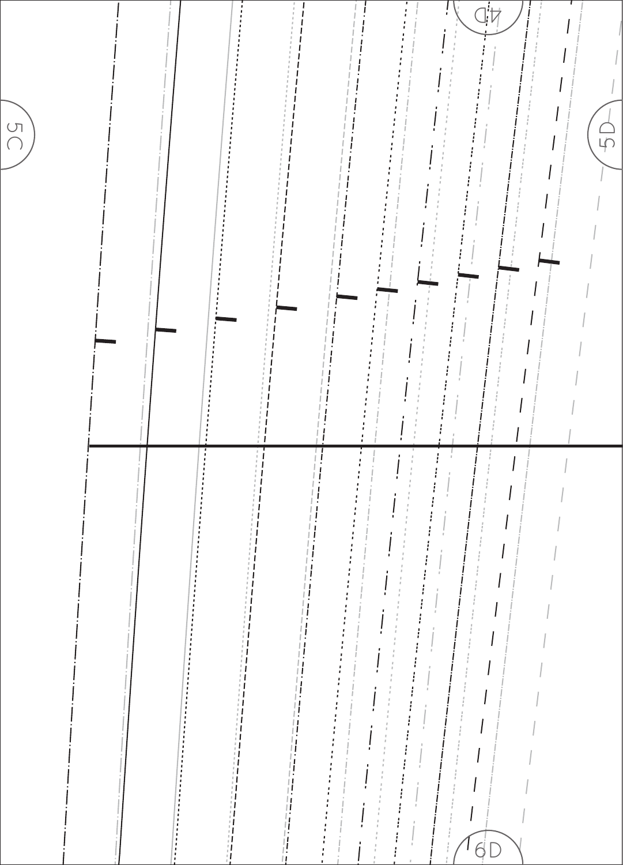## 

|  | ,我们的人们就是一个人的,我们就是一个人的。我们的人们,我们就是一个人的。我们的人们,我们就是一个人的。我们的人们,我们就是一个人的。我们的人们,我们就是一个人的<br>第一节:我们的人们,我们的人们,我们的人们,我们的人们,我们就是我们的人们,我们就是我们的人们,我们就是我们的人们,我们就是我们的人,我们就是我们的人们,我们就 |
|--|-----------------------------------------------------------------------------------------------------------------------------------------------------------------------|

## 甘甘 甘甘

I

 $\frac{1}{2}$ 

 $\frac{i}{l}$ 

 $\overline{\phantom{a}}$  $\frac{1}{2}$  $\frac{1}{1}$ 

 $\frac{1}{1}$ 

J

j j

j

 $\mathbf{I}$ j j j  $\mathbf{I}$  $\mathbf{I}$ I

| $\overline{a}$<br>$\overline{a}$<br>$\frac{1}{2}$ | ļ |
|---------------------------------------------------|---|
|                                                   |   |
|                                                   |   |
|                                                   |   |
|                                                   |   |
|                                                   |   |

| í<br>$\frac{1}{2}$ |  |
|--------------------|--|

 $\mathcal{I}$ 

用排排

 $\frac{1}{2}$ 

 $\begin{bmatrix} 1 & 1 & 1 \\ 1 & 1 & 1 \\ 1 & 1 & 1 \\ 1 & 1 & 1 \\ 1 & 1 & 1 \\ 1 & 1 & 1 \\ 1 & 1 & 1 \\ 1 & 1 & 1 \\ 1 & 1 & 1 \\ 1 & 1 & 1 \\ 1 & 1 & 1 \\ 1 & 1 & 1 \\ 1 & 1 & 1 \\ 1 & 1 & 1 \\ 1 & 1 & 1 \\ 1 & 1 & 1 \\ 1 & 1 & 1 \\ 1 & 1 & 1 \\ 1 & 1 & 1 \\ 1 & 1 & 1 \\ 1 & 1 & 1 \\ 1 & 1 & 1 \\ 1 & 1 & 1 \\ 1 & 1 &$ 

İ

等于

1999年19月19日19月19日19月19日19月19日

 $\frac{i}{i}$ 

 $\begin{array}{c} \begin{array}{c} \begin{array}{c} \text{i}\\ \text{ii}\\ \text{iv}\\ \text{iv}\\ \end{array} \end{array} \end{array}$ 

 $\int\limits_{-\infty}^{+\infty}$  $\dot{J}$  $\dot{l}$ 

 $\int\limits_{-\infty}^{\infty}$  $\int\limits_{-\infty}^{+\infty}$  $\begin{array}{c} 1 \\ 1 \\ 2 \\ 3 \\ 4 \end{array}$ 

 $\mathbf{r}$ 

j  $\frac{1}{2}$ 

 $\int\limits_{-\infty}^{+\infty}$ 

 $\frac{j}{j}$  $\int\limits_{-\infty}^{+\infty}$ 

Í

 $\int\limits_{-\infty}^{\infty}$ 

 $\frac{j}{j}$ 

 $\frac{j}{j}$ 

I

l

 $\overline{1}$ 

 $\overline{I}$ 

 $\overline{I}$ 

 $\overline{I}$ 

 $\overrightarrow{6}$ 

l

 $\overline{1}$ 

 $\overline{I}$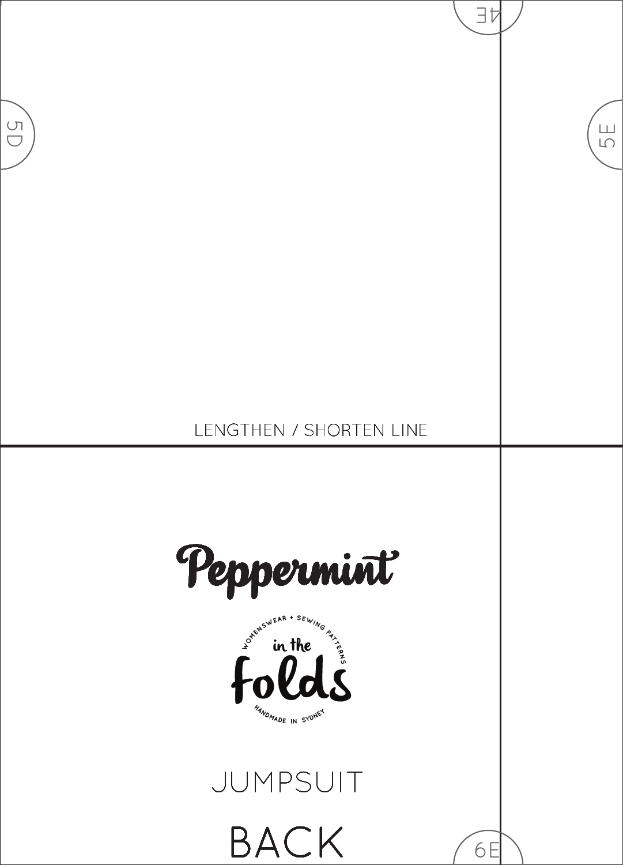

 $\bigcup_{i=1}^n$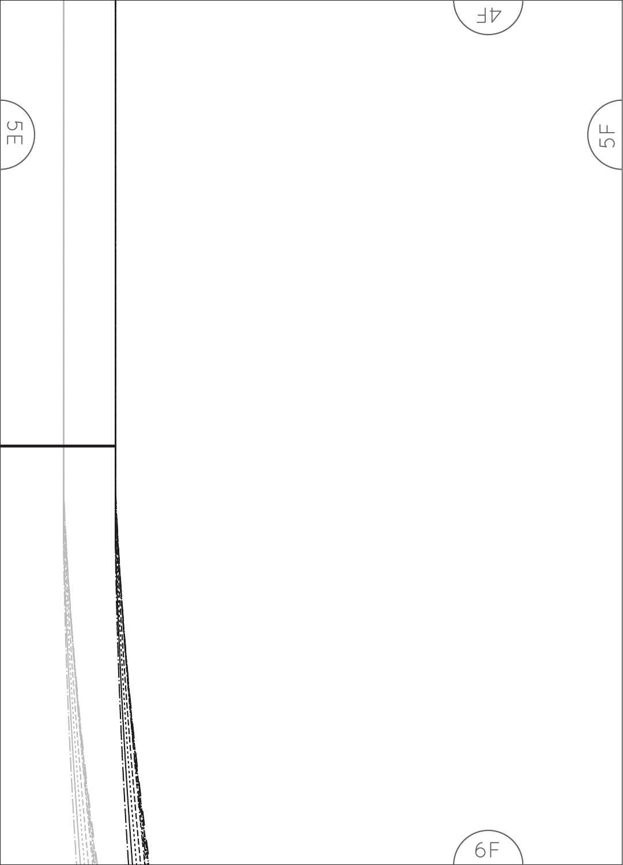

**Comparent** 

N



 $\frac{\Box}{\Box}$ 

 $\exists \nabla$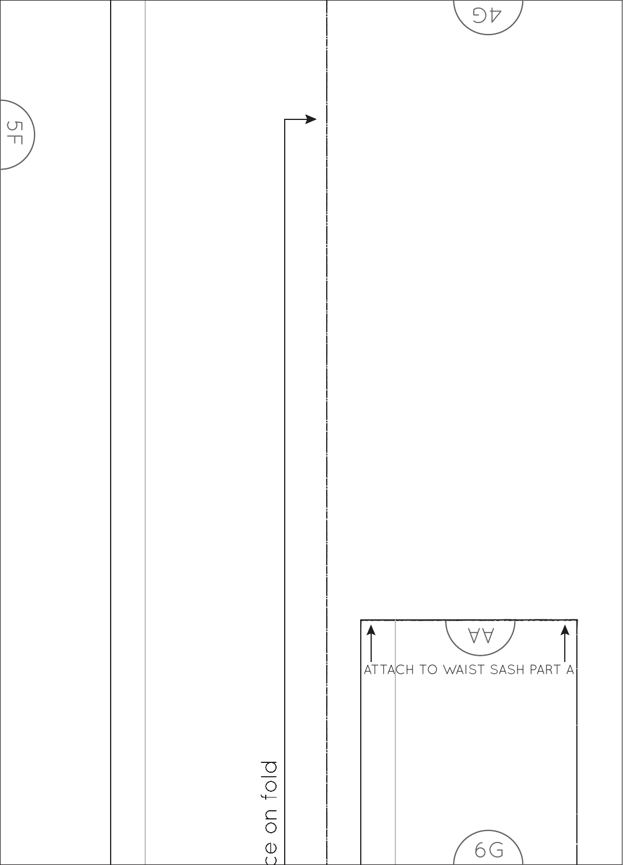



 $50$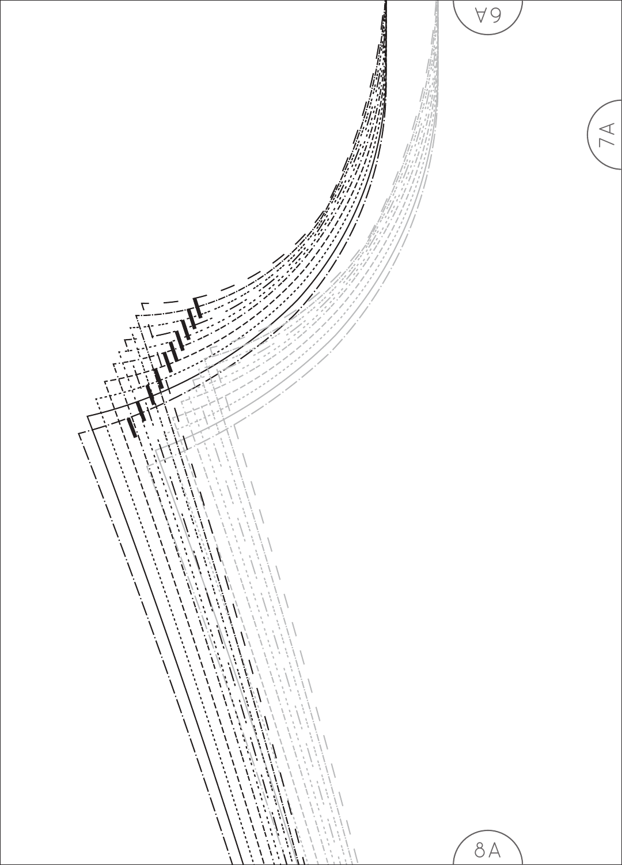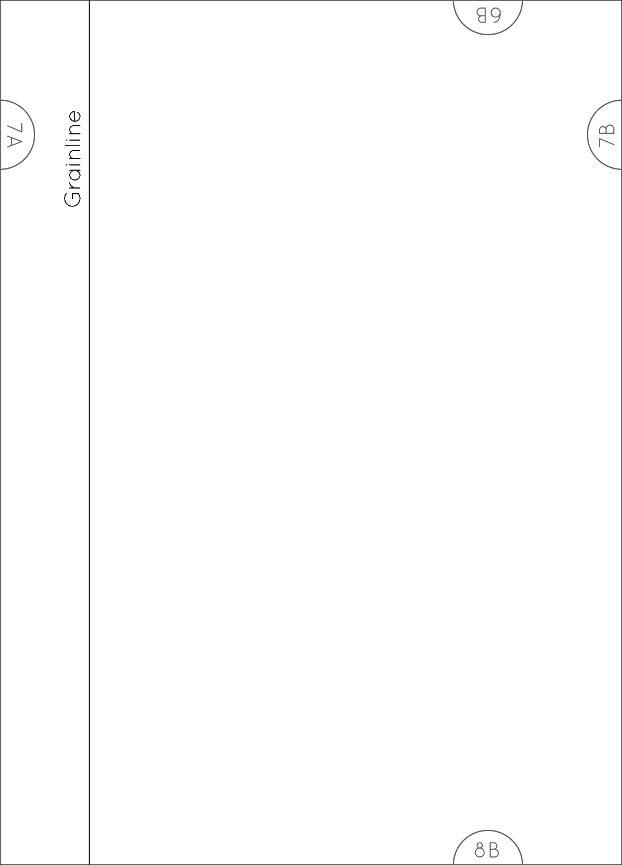7A

Grainline Grainline

6B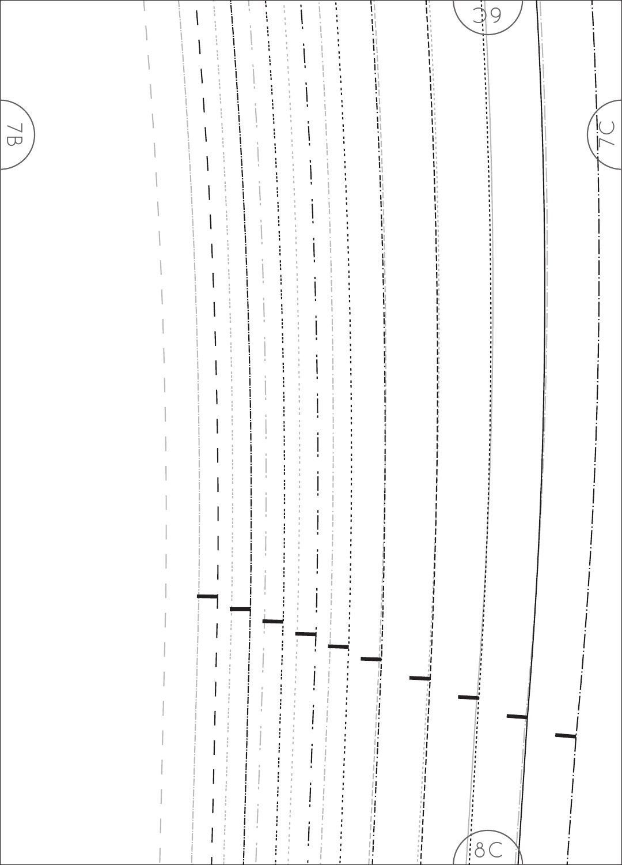|                          | ╲ |
|--------------------------|---|
| $\overline{\phantom{0}}$ |   |
| ١<br>ı                   |   |
|                          | ╱ |

| ١<br>i<br>I<br>į<br>$\frac{1}{2}$<br>į<br>ا<br>أ<br>١<br>į<br>į<br>Î<br>$\begin{array}{ccc} 0 & 0 & 0 \\ 0 & 0 & 0 \\ 0 & 0 & 0 \\ 0 & 0 & 0 \\ 0 & 0 & 0 \\ 0 & 0 & 0 \\ 0 & 0 & 0 \\ 0 & 0 & 0 \\ 0 & 0 & 0 \\ 0 & 0 & 0 \\ 0 & 0 & 0 \\ 0 & 0 & 0 & 0 \\ 0 & 0 & 0 & 0 \\ 0 & 0 & 0 & 0 \\ 0 & 0 & 0 & 0 & 0 \\ 0 & 0 & 0 & 0 & 0 \\ 0 & 0 & 0 & 0 & 0 \\ 0 & 0 & 0 & 0 & 0 & 0 \\ 0 & 0 & 0 & 0 & 0 &$<br>$\frac{1}{2}$<br>$\frac{1}{2}$                                                                                                                                                                                                                                                                                                                                                                                                                                             |
|------------------------------------------------------------------------------------------------------------------------------------------------------------------------------------------------------------------------------------------------------------------------------------------------------------------------------------------------------------------------------------------------------------------------------------------------------------------------------------------------------------------------------------------------------------------------------------------------------------------------------------------------------------------------------------------------------------------------------------------------------------------------------------------------------------------------------------------------------------------------------------------|
| ļ<br>ì<br>î,<br>Ì<br>×,<br>ì<br>I.<br>ì<br>$\frac{1}{1}$<br>ļ<br>$\frac{1}{1}$<br>$\,$<br>ļ<br>ļ<br>ļ<br>ł,<br>$\frac{1}{1}$<br>ļ<br>ļ<br>$\,$<br>ļ<br>ï<br>į<br>$\begin{array}{c} \n\cdot & \cdot & \cdot \\ \n\cdot & \cdot & \cdot \\ \n\cdot & \cdot & \cdot \\ \n\cdot & \cdot & \cdot \\ \n\cdot & \cdot & \cdot \\ \n\cdot & \cdot & \cdot \\ \n\cdot & \cdot & \cdot \\ \n\cdot & \cdot & \cdot \\ \n\cdot & \cdot & \cdot \\ \n\cdot & \cdot & \cdot \\ \n\cdot & \cdot & \cdot \\ \n\cdot & \cdot & \cdot \\ \n\cdot & \cdot & \cdot \\ \n\cdot & \cdot & \cdot \\ \n\cdot & \cdot & \cdot \\ \n\cdot & \cdot & \cdot \\ \n\cdot & \cdot & \cdot \\ \n\cdot & \cdot & \cdot \\ \n\cdot & \cdot & \cdot \\ \n\cdot$<br>$\begin{array}{c} \begin{array}{c} \begin{array}{c} \end{array} \\ \begin{array}{c} \end{array} \end{array} \end{array}$<br>$\frac{1}{1}$<br>I<br>ļ<br>i |
| $\bigg\}$<br>医阴道性 医中央性 医中央性 医中央性 医中央性 医中央性 医中央性 医单位 医中央性 医异体性 医异体性 医骨折 医骨折 医骨折 医骨折 医骨折 医骨折 医骨折 医骨折<br>ļ<br>$\mathbf{i}$<br>ļ<br>f,<br>$\frac{1}{1}$<br>$\frac{1}{2}$<br>Ì,<br>ĵ<br>$\frac{1}{2}$<br>í.<br>Ì,<br>ļ<br>$\frac{1}{1}$<br>ļ<br>I.<br>i<br>$\frac{1}{2}$<br>i<br>ľ<br>ļ<br>i<br>٠                                                                                                                                                                                                                                                                                                                                                                                                                                                                                                                                                                                             |
| f<br>1<br>1<br>İ<br>$\begin{bmatrix} 1 & 1 \\ 1 & 1 \\ 1 & 1 \end{bmatrix}$<br>İ<br>$\frac{1}{1}$<br>ļ<br>$\begin{array}{c} 1 \\ 1 \end{array}$<br>$\vdots$<br>I,<br>ļ<br>$\frac{1}{1}$<br>いちいん しんしん しんしん しんしんしん しんしんしんしん しんしんしん<br>ı<br>ļ<br>ļ<br>I<br>ļ<br>I<br>į<br>ļ<br>ļ<br>$\vdots$<br>٠<br>٠<br>י<br>;<br>×<br>ı                                                                                                                                                                                                                                                                                                                                                                                                                                                                                                                                                                  |
| Ч<br>li,<br>ţ,<br>П<br>ņ<br>И<br>ij<br>l<br>ų<br>ļ<br>П<br>新闻的过去式和过去分词 医精神性神经病性神经病<br>п                                                                                                                                                                                                                                                                                                                                                                                                                                                                                                                                                                                                                                                                                                                                                                                                  |
| ï,<br>Ľ,<br>L,<br>Ι,<br>I,<br>Ŀ<br>I)<br>I)<br>I,<br>医精神性脑膜炎 化电压转换电压转换电极电<br>トレート<br>ı,<br>ļ<br>f,<br>1<br>J<br>J<br>J<br>计计算计计算<br>٠I                                                                                                                                                                                                                                                                                                                                                                                                                                                                                                                                                                                                                                                                                                                                                   |
| $\frac{1}{2}$<br>:<br>i<br>ì<br>i<br>$\frac{1}{2}$<br>ŀ<br>ĸ<br>li<br>18<br>$\mathcal{L}$                                                                                                                                                                                                                                                                                                                                                                                                                                                                                                                                                                                                                                                                                                                                                                                                |

 $\frac{1}{\sqrt{2}}$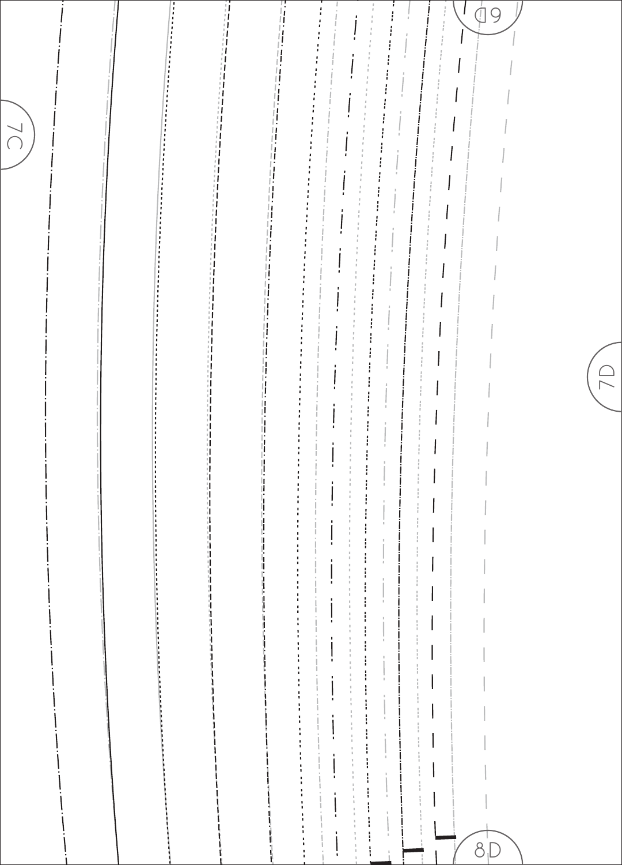

# 

ji ii<br>ii J ij Ţ. jI. 计计算计 ij<br>1 计计算 ÿ, П П ÿ, ij Į, 9. ÿ. ì, Ņ ţI, i, 计计算计算机 ij. í. l. Ĩ, ì

П j П ji<br>!! 计计算 4 jI. il.<br>H 3İ

化自动电压 医中心性中枢性中枢性中枢性中枢性中枢性中枢性中枢性中枢性中枢性中枢性 ļ

计时间 ji 计计算 ij 计计算机

电电子电压电压

 $\frac{1}{2}$ f, f, ţ  $\frac{1}{2}$ ţ, t f, ÷, ţ t

 $\ddot{\phantom{a}}$ ţ ţ ĵ,

ţ

 $\frac{1}{4}$  $\mathbf{r}$ 

 $\frac{1}{2}$ ļ  $\begin{array}{c} \begin{array}{c} \bullet \\ \bullet \end{array} \end{array}$  $\frac{1}{2}$  $\mathfrak j$  $\frac{1}{2}$ ļ j, ļ

 $\mathop{!}\nolimits$  $\begin{array}{c} \begin{array}{c} \begin{array}{c} \end{array} \\ \begin{array}{c} \end{array} \end{array} \end{array}$ ļ  $\prod_{\bullet}$ ļ

 $\dot{\mathfrak{l}}$  $\int$  $\dot{\mathfrak{j}}$ 

 $\dot{J}$  $\dot{J}$ Î ţ ţ ţ 

Í ł ł Ï  $\frac{1}{2}$ 

 $\begin{array}{c} \begin{array}{c} 1 \\ 1 \end{array} \end{array}$  $\begin{matrix} \vdots \\ \vdots \\ \vdots \end{matrix}$ ì Ì

 $\begin{array}{c} \begin{array}{c} \begin{array}{c} \end{array} \\ \begin{array}{c} \end{array} \\ \begin{array}{c} \end{array} \end{array} \end{array}$ Ţ ļ ļ ļ j İ Ī į į ļ j

ļ  $\int\limits_{0}^{t}% \frac{1}{\left( t\right) ^{2}}\left( t\right) ^{2}dt$ í  $\frac{1}{2}$  $\frac{1}{i}$  $\frac{1}{i}$ į ļ ļ ļ

 $\begin{bmatrix} 1 \\ 1 \\ 1 \\ 1 \end{bmatrix}$ ł ţ Í ţ Ì 

I

 $\bigg|$ 

 $8$   $\Gamma$ 

ļ  $\frac{1}{i}$  $\begin{array}{c} \frac{1}{2} & \frac{1}{2} & \frac{1}{2} \\ \frac{1}{2} & \frac{1}{2} & \frac{1}{2} \\ \frac{1}{2} & \frac{1}{2} & \frac{1}{2} \end{array}$  $\overline{\phantom{a}}$  $\overline{\phantom{a}}$ I I I

 $\frac{1}{t}$  $\overline{\phantom{a}}$ I I  $\overline{\phantom{a}}$ I  $\bigg|$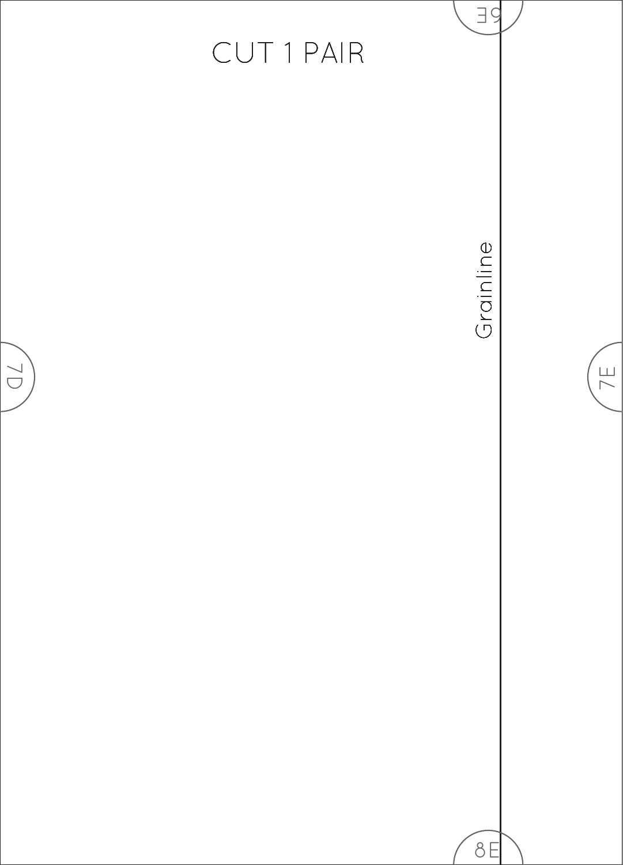

 $8E$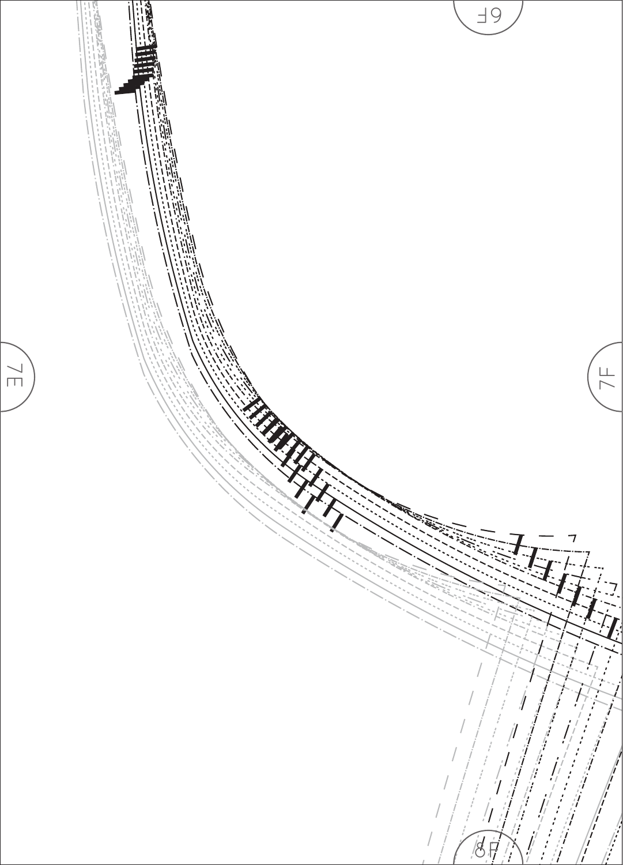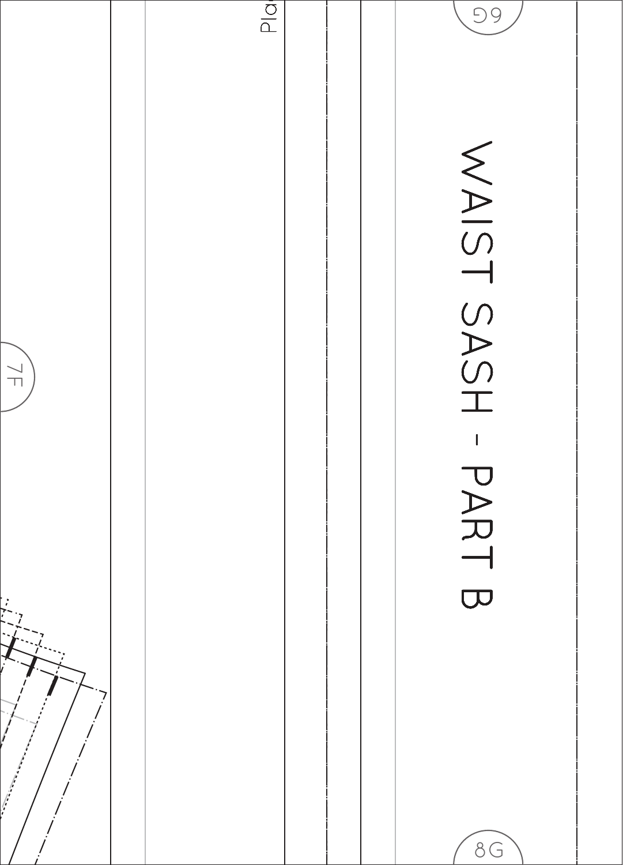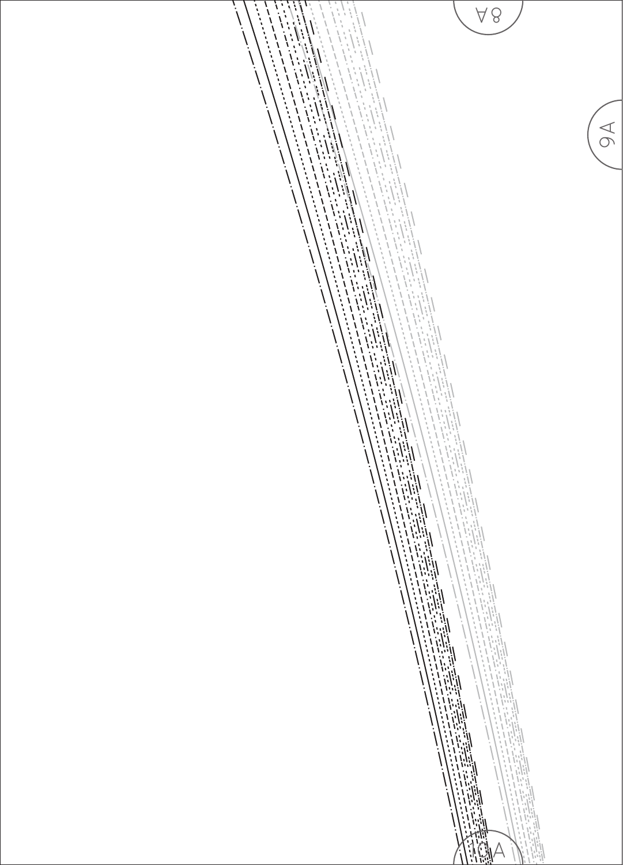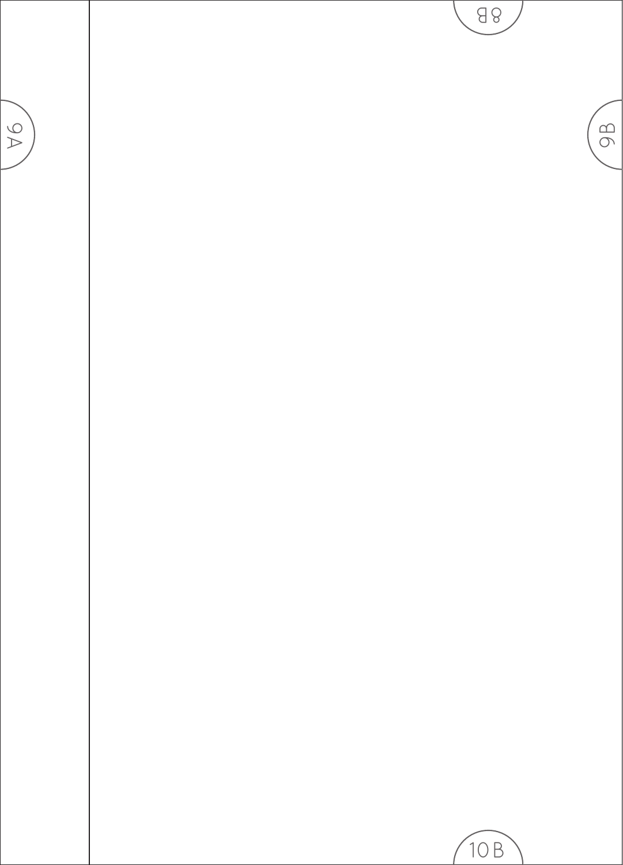

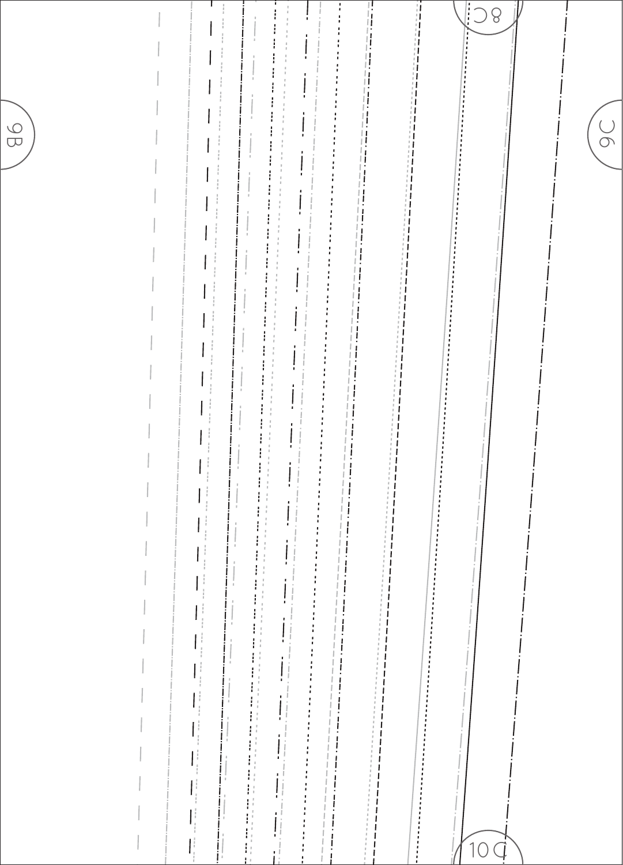Ľ Ę Ę

j

į. J

ļ  $\begin{matrix} \vdots \\ \vdots \end{matrix}$ Ţ ļi

I I ı Į I  $\frac{1}{2}$ Ţ į Ť Ť  $\begin{array}{c} \n\cdot & \cdot & \cdot \\ \n\cdot & \cdot & \cdot \\ \n\cdot & \cdot & \cdot \\ \n\cdot & \cdot & \cdot \\ \n\cdot & \cdot & \cdot \\ \n\cdot & \cdot & \cdot \\ \n\cdot & \cdot & \cdot \\ \n\cdot & \cdot & \cdot \\ \n\cdot & \cdot & \cdot \\ \n\cdot & \cdot & \cdot \\ \n\cdot & \cdot & \cdot \\ \n\cdot & \cdot & \cdot \\ \n\cdot & \cdot & \cdot \\ \n\cdot & \cdot & \cdot \\ \n\cdot & \cdot & \cdot \\ \n\cdot & \cdot & \cdot \\ \n\cdot & \cdot & \cdot \\ \n\cdot & \cdot & \cdot \\ \n\cdot & \cdot & \cdot \\ \n\cdot$ Ţ ļ IJ  $\begin{matrix} \vdots \\ \vdots \end{matrix}$ İ Ţ, I Į İ.

÷, 的复数形式 化非常数 化非常数

f, ł Ŧ  $\mathbf{E}$ ł

t Ĵ 

 $\begin{array}{c} \begin{array}{c} 1 \\ 1 \\ 1 \\ 1 \end{array} \end{array}$ 

ł

 $\mathbf i$ 

ł

 $-1$  ,  $-1$  ,  $-1$  ,  $-1$  ,  $-1$  ,  $-1$  ,  $-1$  ,  $-1$  $\frac{1}{2}$ ļ

ji ij İj

Í ļ ļ ļ ij  $\begin{matrix} \vdots \\ \vdots \\ \vdots \end{matrix}$ 

 $\frac{1}{2}$ 

 $\ddot{\phantom{a}}$ 

t

 $\frac{1}{2}$ 

 $\mathbf{j}$ 

 $\mathbf{j}$ 

 $\frac{1}{2}$ 

ļ

 $\int$ 

 $\begin{array}{c} \begin{array}{c} \bullet \\ \bullet \end{array} \end{array}$ 

 $\begin{array}{c} \begin{array}{c} 1 \\ 1 \end{array} \end{array}$ 

ļ

ļ

ļ

ï

 $\begin{array}{c} \rule{0pt}{2ex} \rule{0pt}{2ex} \rule{0pt}{2ex} \rule{0pt}{2ex} \rule{0pt}{2ex} \rule{0pt}{2ex} \rule{0pt}{2ex} \rule{0pt}{2ex} \rule{0pt}{2ex} \rule{0pt}{2ex} \rule{0pt}{2ex} \rule{0pt}{2ex} \rule{0pt}{2ex} \rule{0pt}{2ex} \rule{0pt}{2ex} \rule{0pt}{2ex} \rule{0pt}{2ex} \rule{0pt}{2ex} \rule{0pt}{2ex} \rule{0pt}{2ex} \rule{0pt}{2ex} \rule{0pt}{2ex} \rule{0pt}{2ex} \rule{0pt}{$ 

电电阻电阻

用品情

jj

甘草

 $\frac{1}{2}$ ij

 $\mathbf{I}$ 

 $\mathbf{I}$ 

 $\begin{array}{c}\n1 \\
1 \\
1\n\end{array}$ 

 $\begin{array}{c} \dot{H} \\ \dot{H} \\ \end{array}$ 

 $\frac{1}{2}$ 

ļ

 $\mathbf{I}$ 

 $\frac{1}{2}$ 

 $\begin{array}{c} \n\cdot & \cdot \\
\cdot & \cdot \\
\cdot & \cdot\n\end{array}$ 

 $\frac{1}{2}$ 

 $\mathbf{I}$ 

 $\begin{array}{c} 1 \\ 1 \\ 2 \\ 3 \\ 4 \\ 1 \end{array}$ 

ł

I

 $\mathbf{I}$ 

计计算

ji<br>1

п

计计算

П  $\pm 1$ 

ü

÷.

ū

Ţ п Į.

H

П ÷ι : 1

i I Ħ

÷ I

 $\mathbf{I}$ 

计计计计

Ħ

Ħ

 $\frac{1}{1}$ 

计计算

计计算

 $\mathbf{I}$ 

j  $\mathbf I$  $\mathbf{I}$ 

 $\mathbf{I}$ 

 $\overline{1}$ 

10

8

 $\stackrel{\textstyle\sim}{\infty}$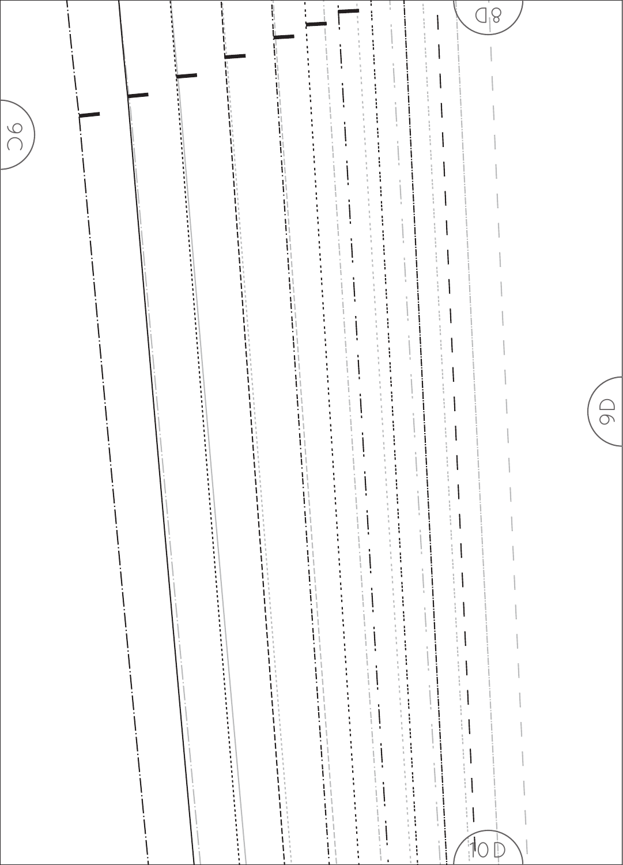יים את המשורש המשורש המשורש המשורש המשורש המשורש המשורש המשורש המשורש המשורש המשורש המשורש המשורש המשורש המשורש<br>המשורש המשורש המשורש המשורש המשורש המשורש המשורש המשורש המשורש המשורש המשורש המשורש המשורש המשורש המשורש המשו

Ĭ,

化化化化化化化化化化化化化化化化化

l.<br>I

Ŧ

l<br>I

エンティー・エス

 $\vert$ 

 $\bigg\}$ 

 $\overline{\phantom{a}}$ 

 $\bigg\vert$ 

 $\overline{\phantom{a}}$ 

 $\overline{\phantom{a}}$  $\frac{1}{2}$ ١

 $\begin{array}{c} \begin{array}{c} \begin{array}{c} \begin{array}{c} \end{array} \\ \end{array} \\ \begin{array}{c} \end{array} \\ \begin{array}{c} \end{array} \\ \end{array} \end{array} \end{array}$ 

Ţ.

 $\sqrt{10}$  $\dot{\mathbb{D}}$ 

မြ

I

 $\bigg|$ 

 $\overline{\phantom{a}}$ 

 $\bigg\}$ 

 $\bigg\}$ 

 $\overline{\phantom{a}}$ 

 $\frac{1}{2}$  $\overline{\phantom{a}}$ 

 $\frac{1}{2}$ 

 $\overline{\phantom{a}}$ 

 $\overline{\phantom{a}}$ 

 $\bigg|$ 

 $\overline{\phantom{a}}$ 

 $\bigcirc$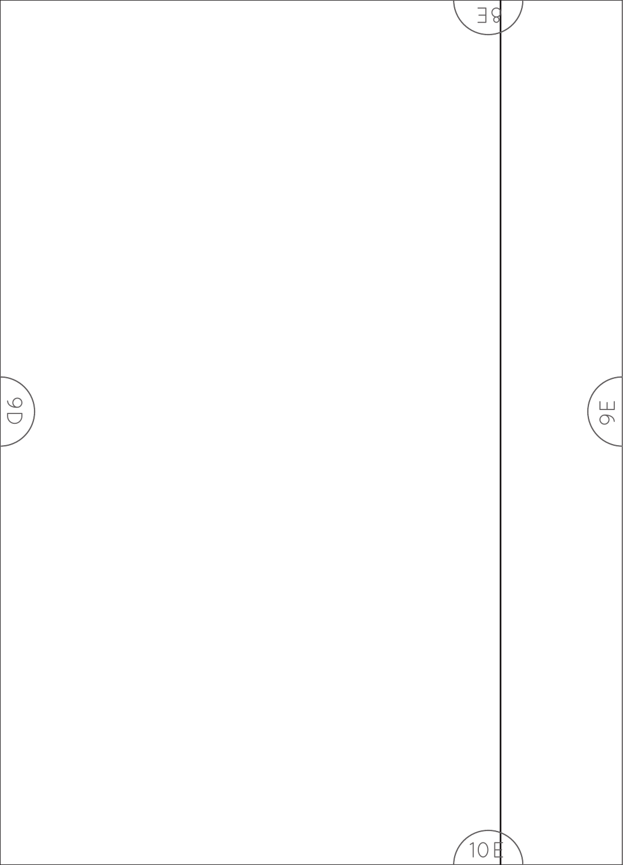O6

 $\frac{1}{20}$ 

 $10<sub>5</sub>$ 

 $\Box$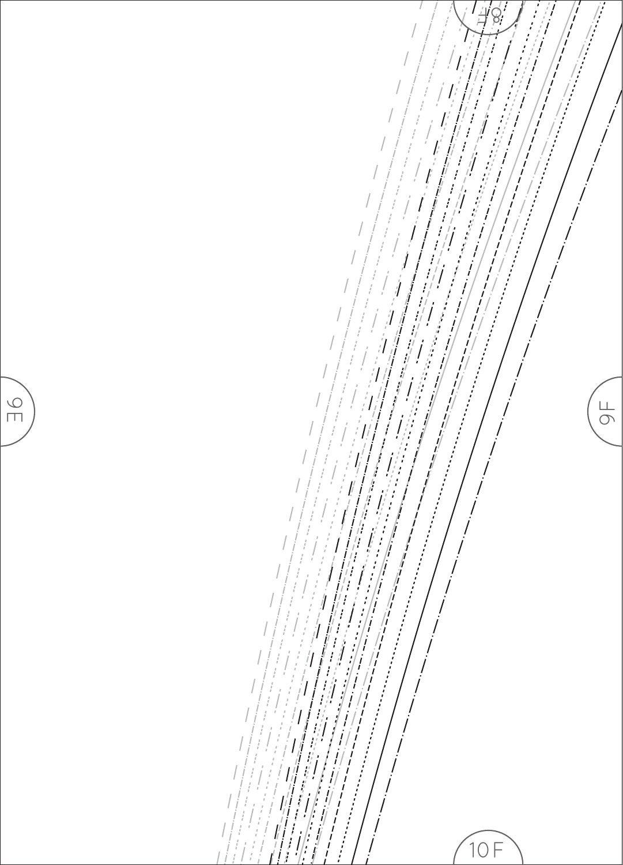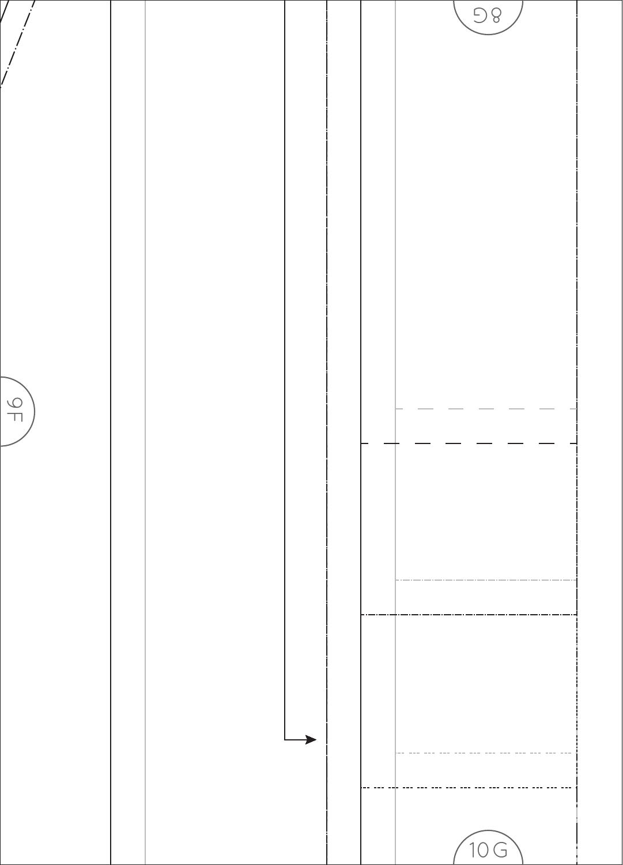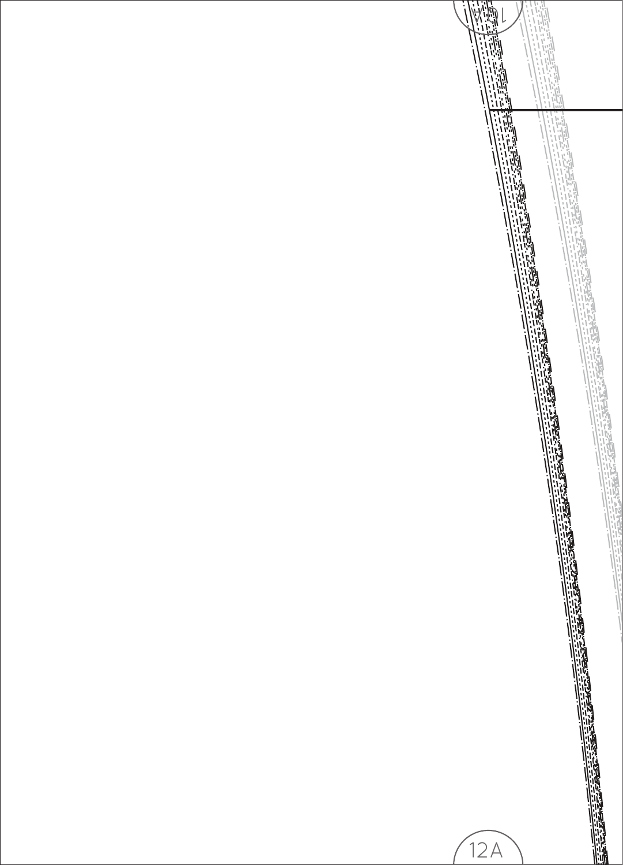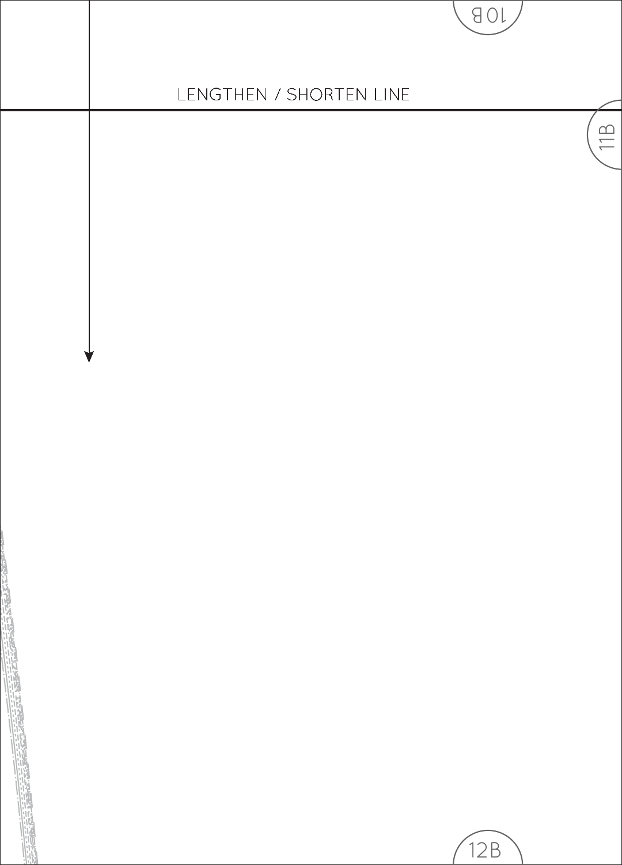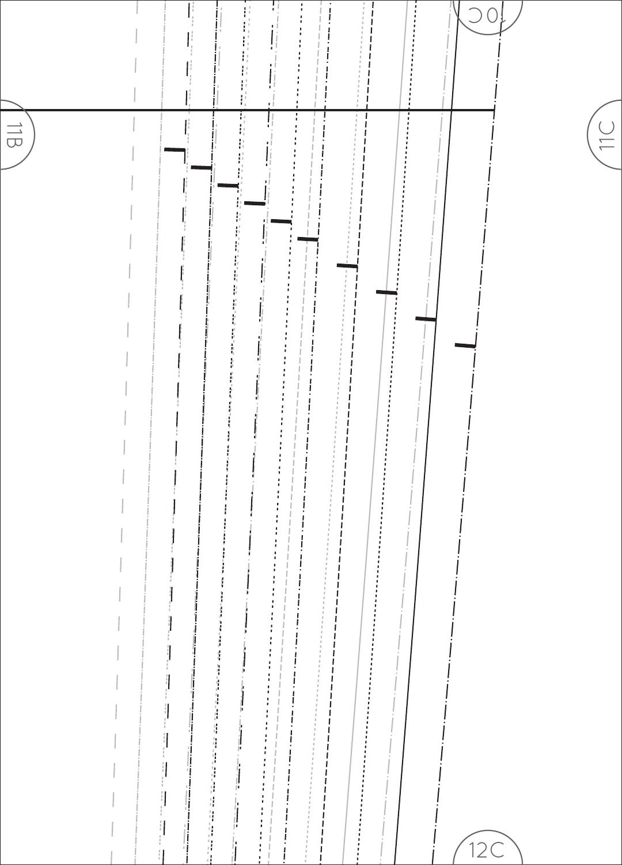| ιF |
|----|
| ╱  |
|    |

| ٠                                                                      | ł                                                                                                                                                                                                                                                                                                                                                                                                                                                                                                                                                                                                                                                                                       |
|------------------------------------------------------------------------|-----------------------------------------------------------------------------------------------------------------------------------------------------------------------------------------------------------------------------------------------------------------------------------------------------------------------------------------------------------------------------------------------------------------------------------------------------------------------------------------------------------------------------------------------------------------------------------------------------------------------------------------------------------------------------------------|
| í<br>I<br>I<br>ı<br>ı<br>I<br>ı<br>ı                                   | л<br>×<br>f<br>f,<br>p<br>×<br>×<br>J,<br>$\cdot$<br>î<br>í                                                                                                                                                                                                                                                                                                                                                                                                                                                                                                                                                                                                                             |
|                                                                        | ı<br>I<br>ı<br>$\begin{bmatrix} 1 \\ 1 \\ 1 \\ 1 \end{bmatrix}$<br>I<br>ı<br>ı<br>ı<br>ı<br>ı<br>$\frac{1}{1}$<br>I<br>Í<br>I<br>I                                                                                                                                                                                                                                                                                                                                                                                                                                                                                                                                                      |
| ļ<br>I<br>I<br>ı<br>ļ                                                  | ך<br> <br> <br>Ţ<br>ì<br>I<br>ı<br>I<br>í<br>$\frac{1}{2}$<br>ļ<br>ļ<br>$\frac{1}{2}$<br>I<br>ı<br>ı<br>ı<br>ı<br>I<br>I<br>ı<br>I<br>ı<br>ı<br>ı<br>$\frac{1}{1}$<br>ţ<br>I<br>ţ<br>$\mathbf I$<br>I<br>$\frac{1}{2}$<br>$\frac{1}{1}$<br>I<br>ı<br>1<br>ı<br>$\frac{1}{1}$<br>I<br>$\frac{1}{1}$<br>I<br>I<br>ı<br>I<br>I                                                                                                                                                                                                                                                                                                                                                             |
| I<br>ij<br>ı<br>٠<br>ľ<br>٠<br>ij<br>٠<br>p<br>ł<br>Í<br>$\frac{1}{2}$ | 不全的<br>ł<br>ł<br>ł<br>J,<br>Í<br>$\frac{1}{2}$<br>T<br>ł<br>ł<br>Í<br>ţ<br>Í<br>f<br>t<br>t<br>t<br>ł<br>ł<br>٠<br>п<br>٠<br>ļ<br>f<br>ļ<br>$\blacksquare$<br>p<br>٠<br>٠<br>I<br>Î<br>ļ<br>п<br>ı<br>I<br>$\begin{bmatrix} 1 & 1 & 1 \\ 1 & 1 & 1 \\ 1 & 1 & 1 \end{bmatrix}$<br>t<br>Í<br>$\frac{1}{1}$<br>ł<br>$\frac{1}{2}$<br>ł<br>ł,<br>$\begin{array}{c} \end{array}$<br>$\frac{1}{1}$<br>$\begin{array}{c} \end{array}$<br>I<br>I<br>Ï<br>$\frac{1}{1}$<br>Ī<br>I<br>Ï<br>$\mid$<br>I<br>I<br>I                                                                                                                                                                                 |
| I<br>I)<br>ij<br>有甘甘<br>ť,<br>$\blacksquare$                           | 医骨折骨折<br>开!<br>ii<br>ť,<br>×.<br>$\label{eq:2} \frac{1}{2}\int_{-\pi}^{\pi} \frac{1}{2\pi} \int_{-\pi}^{\pi} \frac{1}{2\pi} \int_{-\pi}^{\pi} \frac{1}{2\pi} \int_{-\pi}^{\pi} \frac{1}{2\pi} \int_{-\pi}^{\pi} \frac{1}{2\pi} \int_{-\pi}^{\pi} \frac{1}{2\pi} \int_{-\pi}^{\pi} \frac{1}{2\pi} \int_{-\pi}^{\pi} \frac{1}{2\pi} \int_{-\pi}^{\pi} \frac{1}{2\pi} \int_{-\pi}^{\pi} \frac{1}{2\pi} \int_{-\pi}^{\pi} \frac{1}{2\$<br>ť.<br>ij<br>Ч<br>li<br>i<br>Ĵ<br>$\frac{1}{2}$<br>$\begin{array}{c} \n\downarrow \\ \downarrow \\ \downarrow\n\end{array}$<br>İ<br>ļ<br>ŋ<br>j,<br>$\begin{array}{c} 1 \\ 1 \\ 2 \\ 3 \\ 4 \\ 1 \end{array}$<br>ł<br>f<br>ł<br>ł<br>$\frac{1}{2}$ |
|                                                                        | j<br>ľ<br>į,<br>ļ<br>ţ<br>ĺ<br>į<br>שמע שמש המשפט של המשפט של המשפט של המשפט המשפט של המשפט של המשפט של המשפט המשפט של המשפט המשפט של המשפט המשפט<br>המשפט של המשפט של המשפט של המשפט של המשפט של המשפט של המשפט של המשפט של המשפט של המשפט של המשפט של המשפט של המ<br>י<br>ו<br>í                                                                                                                                                                                                                                                                                                                                                                                                      |
|                                                                        | ł<br>Ï<br>ł<br>ł<br>$\frac{1}{2}$<br>ij<br>j<br>i<br>i<br>j<br>j                                                                                                                                                                                                                                                                                                                                                                                                                                                                                                                                                                                                                        |
|                                                                        | )<br>                                                                                                                                                                                                                                                                                                                                                                                                                                                                                                                                                                                                                                                                                   |
|                                                                        |                                                                                                                                                                                                                                                                                                                                                                                                                                                                                                                                                                                                                                                                                         |
|                                                                        |                                                                                                                                                                                                                                                                                                                                                                                                                                                                                                                                                                                                                                                                                         |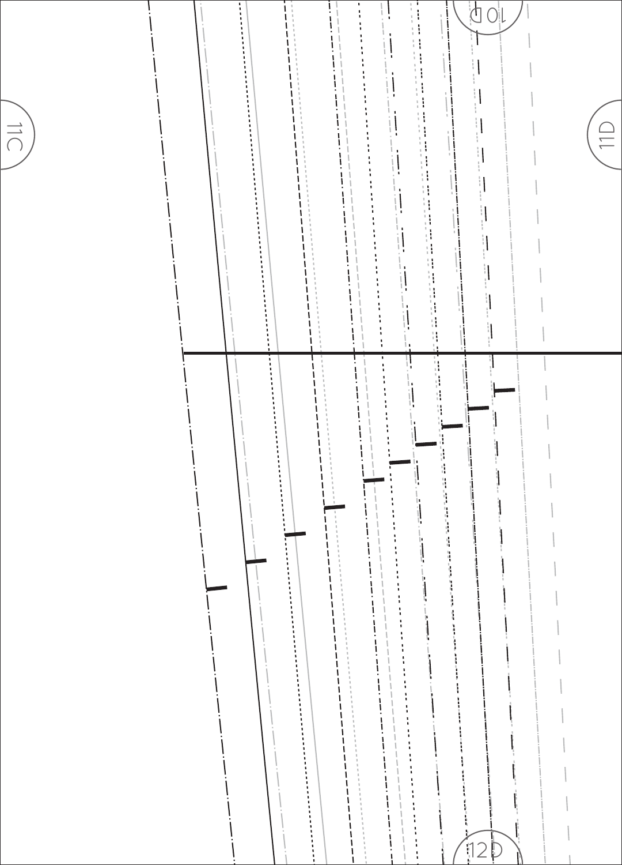|  | $\overline{\phantom{0}}$ |
|--|--------------------------|
|  |                          |
|  |                          |
|  | $\overline{\phantom{a}}$ |
|  |                          |
|  |                          |

|                        | l<br>١<br>$\frac{1}{2}$<br>١<br>$\frac{1}{1}$<br>$\frac{1}{1}$<br>١ | <del>ा</del> न्त्रा स्टब्स्ट्रेलिया स्टब्स्ट्रेलिया स्टब्स्ट्रेलिया स्टब्स्ट्रेलिया स्टब्स्ट्रेलिया स्टब्स्ट्रेलिया स्टब्स्ट्रेलिया स्टब्स्ट्रेलिया स्टब्स्ट्रेलिया स्टब्स्ट्रेलिया स्टब्स्ट्रेलिया स्टब्स्ट्रेलिया स्टब्स्ट्रेलिया स् |                                                                                                                                                                                                                                                                                                                                                                                                                                                                                                                                                                                                                                                                    | $\mathbf{i}$<br>ļ<br>l<br>i<br>j<br>L<br>ì<br>ļ<br>电压进步 |        | ţ                                                                                                                                                                                                                                           | Ï<br>ļ<br>j.<br>ij                                                                |  |
|------------------------|---------------------------------------------------------------------|----------------------------------------------------------------------------------------------------------------------------------------------------------------------------------------------------------------------------------------|--------------------------------------------------------------------------------------------------------------------------------------------------------------------------------------------------------------------------------------------------------------------------------------------------------------------------------------------------------------------------------------------------------------------------------------------------------------------------------------------------------------------------------------------------------------------------------------------------------------------------------------------------------------------|---------------------------------------------------------|--------|---------------------------------------------------------------------------------------------------------------------------------------------------------------------------------------------------------------------------------------------|-----------------------------------------------------------------------------------|--|
| $\frac{1}{i}$<br>י<br> |                                                                     | $\frac{1}{1}$                                                                                                                                                                                                                          | ╇╌┈┞┈┦┈╶╿┈╿╌╷╿╿╌╷╿╿╌╷╿╿╷┈╿╿┈ <b>╹</b> ╏╹╿╷┈╿╎<br>$\begin{array}{c} \n \mid \\ \n \mid \\ \n \mid \end{array}$<br>$\frac{1}{1}$<br>$\frac{1}{1}$<br>$\frac{1}{2}$<br>$\frac{1}{1}$<br>$\begin{aligned} \frac{1}{2} \left( \frac{1}{2} \right) \left( \frac{1}{2} \right) \left( \frac{1}{2} \right) \left( \frac{1}{2} \right) \left( \frac{1}{2} \right) \left( \frac{1}{2} \right) \left( \frac{1}{2} \right) \left( \frac{1}{2} \right) \left( \frac{1}{2} \right) \left( \frac{1}{2} \right) \left( \frac{1}{2} \right) \left( \frac{1}{2} \right) \left( \frac{1}{2} \right) \left( \frac{1}{2} \right) \left( \frac{1}{2} \right) \left( \frac{1}{2} \right)$ | 医阿拉伯氏试验检尿道 医阿拉伯氏试验检胆汁 医心包 医心包 医心包 医阿尔伯氏试验检胆汁            | ļ<br>ļ | i<br>İ<br>$\frac{1}{2}$ , where the continuous comparison and continuous comparison of the continuous continuous continuous continuous continuous continuous continuous continuous continuous continuous continuous continuous continuous c | ļ<br>ļ<br> <br> <br> <br> <br> <br>ļ<br>١<br>ا<br>أ<br> <br> <br> <br> <br>ĺ<br>C |  |

11D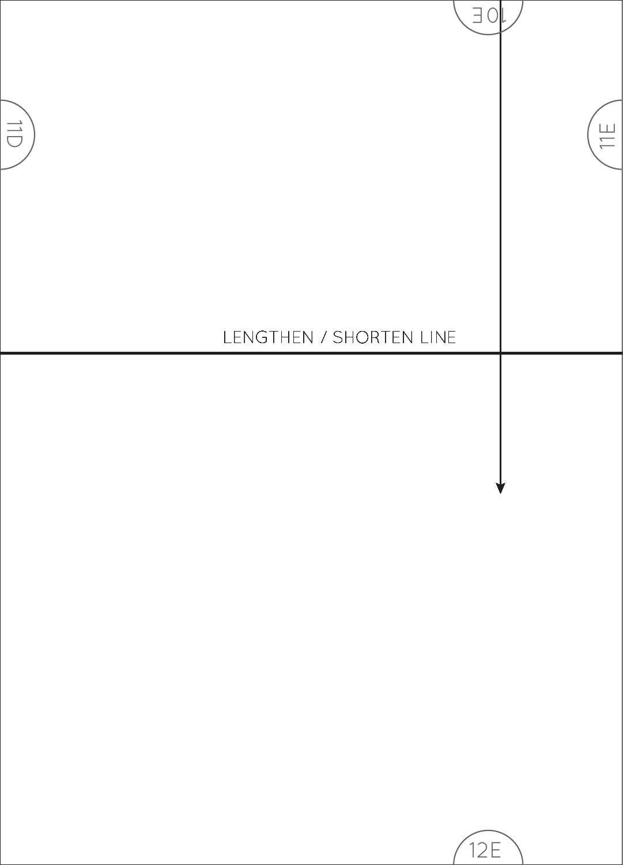## $\begin{tabular}{|c|c|} \hline \quad \quad & \quad \quad \\ \hline \quad \quad & \quad \quad \\ \hline \quad \quad & \quad \quad \\ \hline \quad \quad & \quad \quad \\ \hline \end{tabular}$

## LENGTHEN / SHORTEN LINE



 $J \circ E$ 

 $\frac{\Box}{\Box}$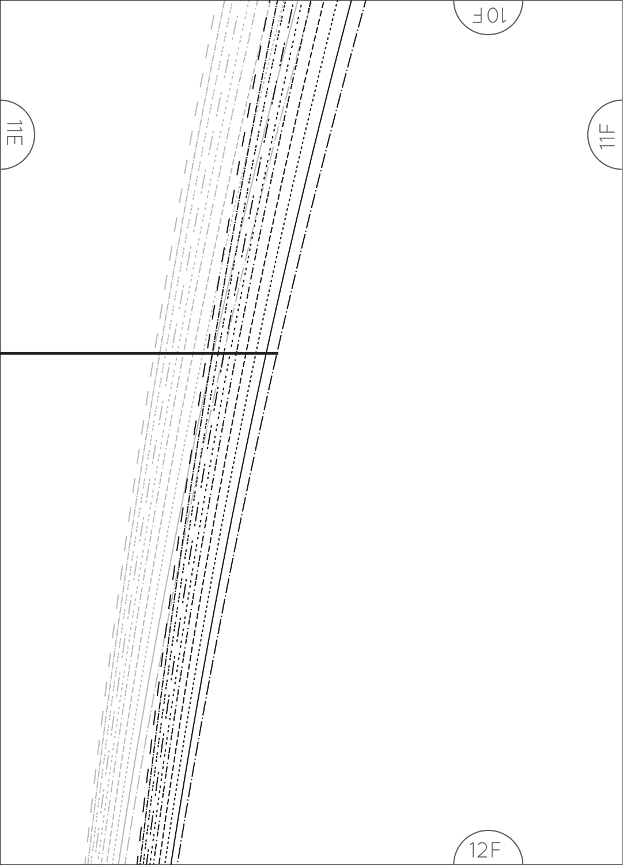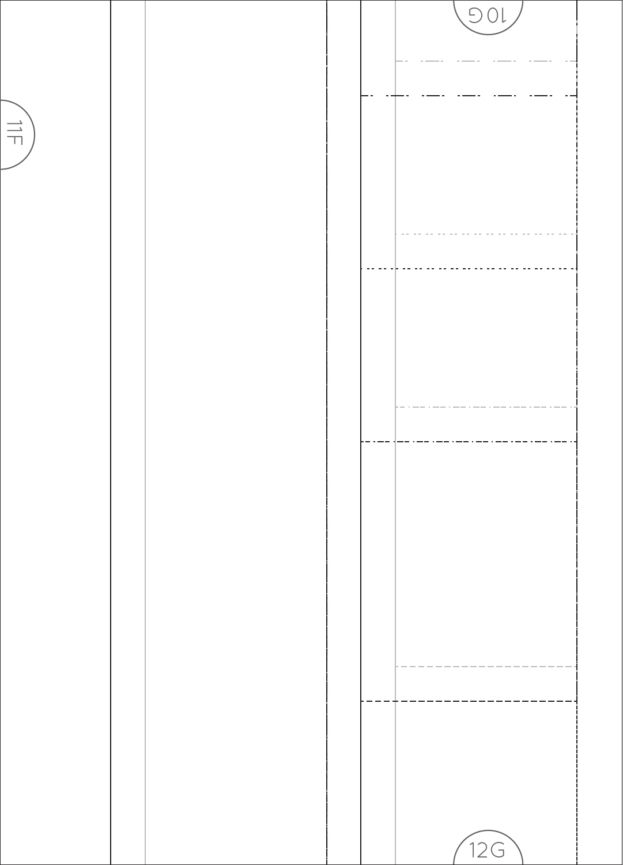

 $\frac{\overrightarrow{\phantom{a}}}{\overrightarrow{\phantom{a}}\phantom{a}}}{\overrightarrow{\phantom{a}}\phantom{a}}$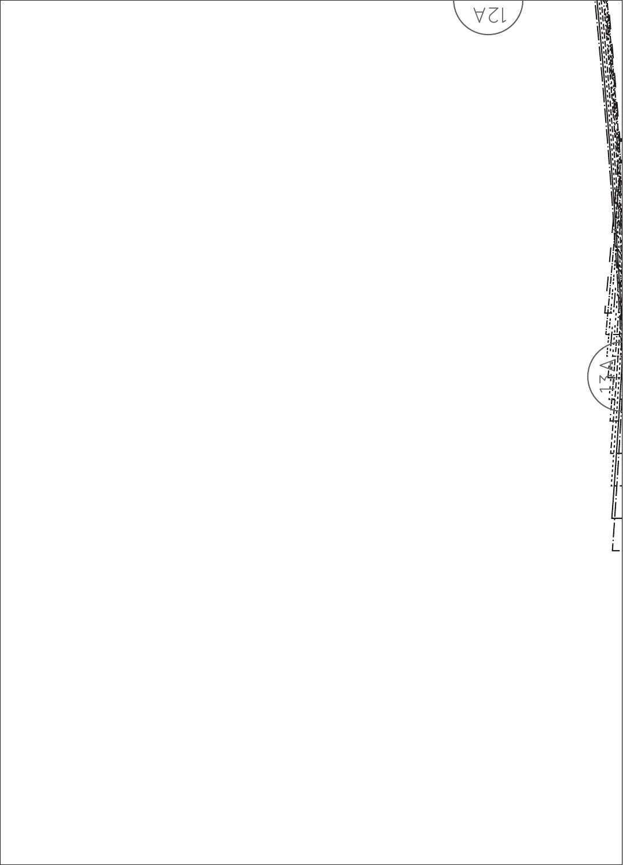

12A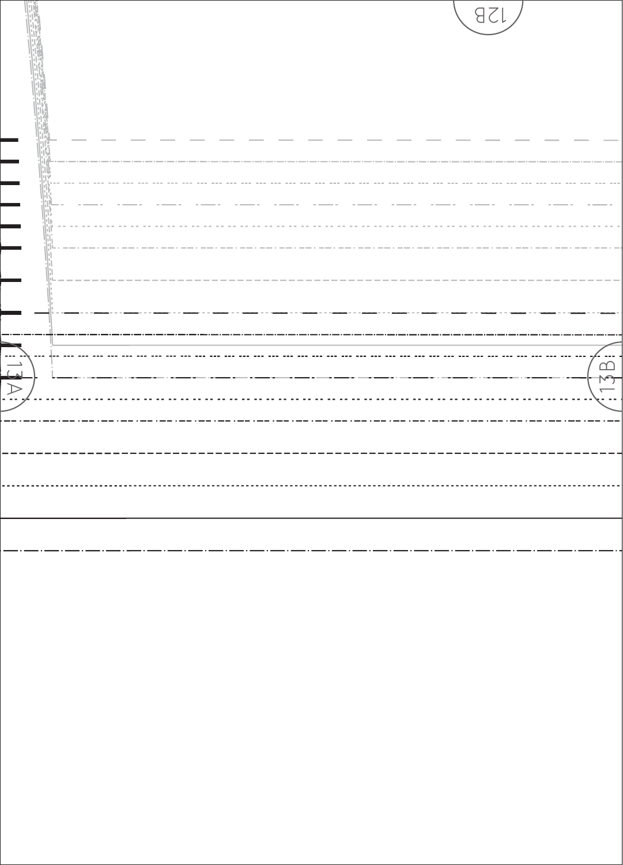| 15B<br>.<br>In the management management of the same of the management of the same of the management of the same of the ma |  |
|----------------------------------------------------------------------------------------------------------------------------|--|
|                                                                                                                            |  |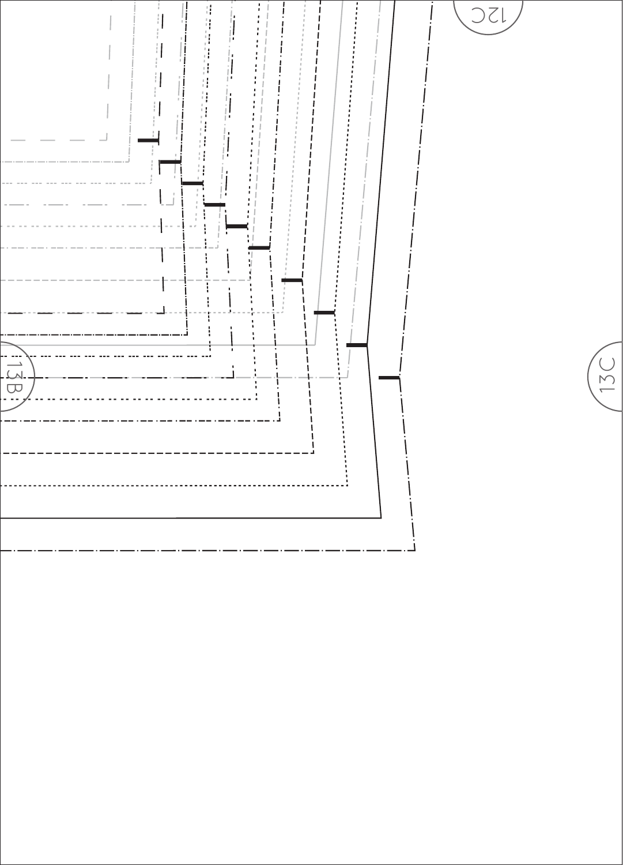



12C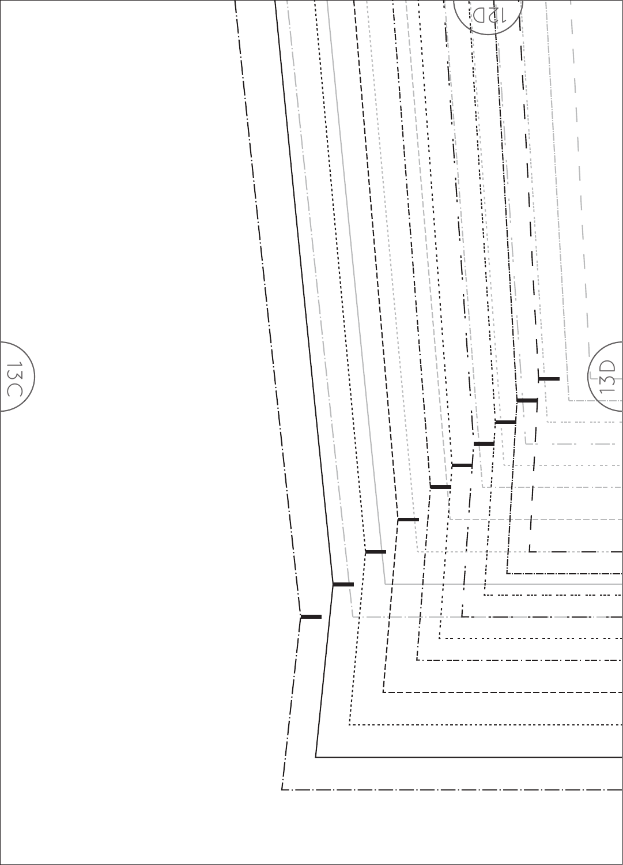

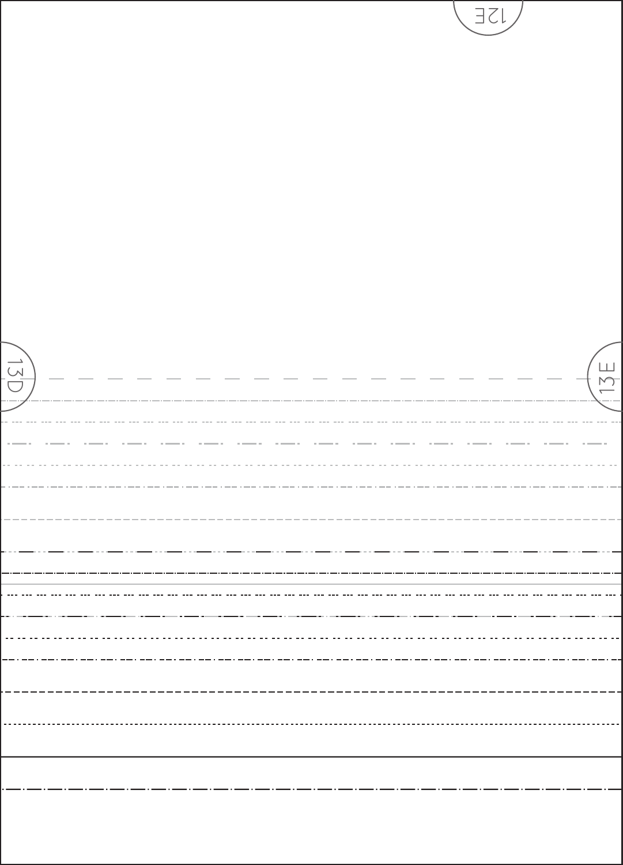| $\begin{array}{c} \begin{array}{c} \begin{array}{c} \end{array} \\ \begin{array}{c} \end{array} \\ \begin{array}{c} \end{array} \end{array} \end{array}$ | - - - - - - - - - - - - - -                                                                     |  | $\frac{1}{3}$ |
|----------------------------------------------------------------------------------------------------------------------------------------------------------|-------------------------------------------------------------------------------------------------|--|---------------|
|                                                                                                                                                          | والمستعمل وسنتم والمستعمل وسنتم والمستعمل والمستعمل والمستعمل والمستعمل والمستعمل والمستعمل     |  |               |
|                                                                                                                                                          |                                                                                                 |  |               |
|                                                                                                                                                          |                                                                                                 |  |               |
|                                                                                                                                                          | والمستحدث والمتحا والمستحد والمستعمل والمستحدث والمستحدث والمستحدث والمستحدث والمستحدث والمتحدث |  |               |
|                                                                                                                                                          |                                                                                                 |  |               |
|                                                                                                                                                          |                                                                                                 |  |               |
|                                                                                                                                                          |                                                                                                 |  |               |

 $JSE$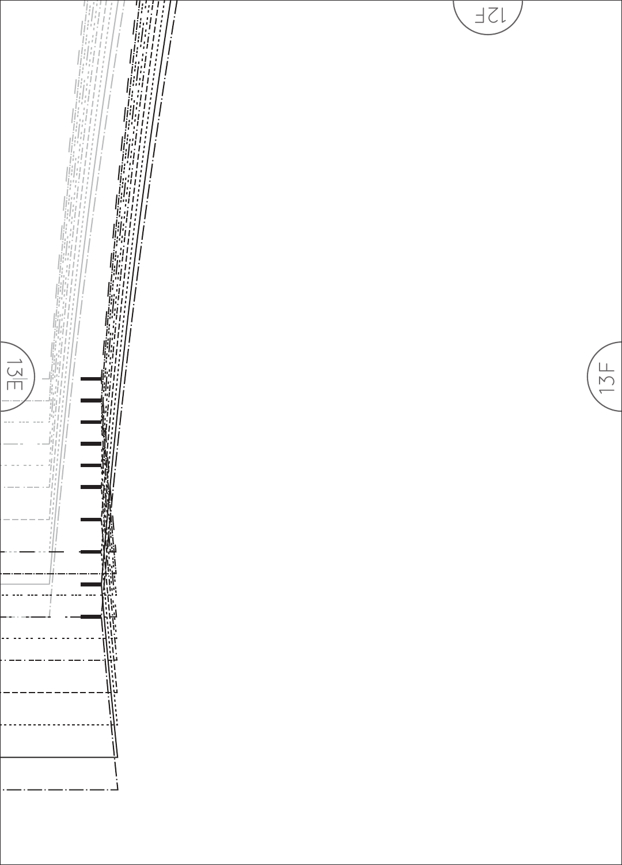

 $J5E$